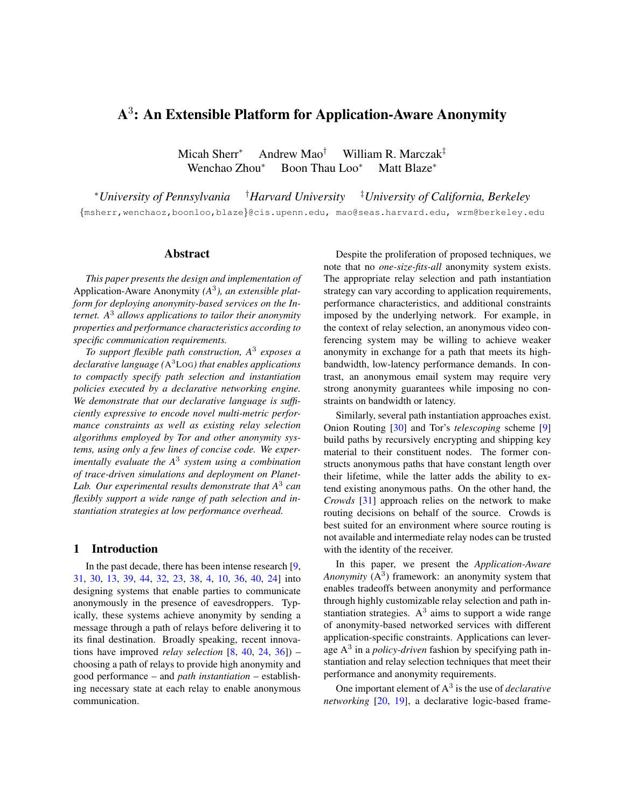# A 3 : An Extensible Platform for Application-Aware Anonymity

Micah Sherr<sup>∗</sup> Andrew Mao† William R. Marczak‡ Wenchao Zhou<sup>∗</sup> Boon Thau Loo<sup>∗</sup> Matt Blaze<sup>∗</sup>

<sup>∗</sup>*University of Pennsylvania* †*Harvard University* ‡*University of California, Berkeley* {msherr,wenchaoz,boonloo,blaze}@cis.upenn.edu, mao@seas.harvard.edu, wrm@berkeley.edu

### Abstract

*This paper presents the design and implementation of* Application-Aware Anonymity *(A*<sup>3</sup> *), an extensible platform for deploying anonymity-based services on the Internet. A*<sup>3</sup> *allows applications to tailor their anonymity properties and performance characteristics according to specific communication requirements.*

*To support flexible path construction, A*<sup>3</sup> *exposes a declarative language (*A <sup>3</sup>LOG*) that enables applications to compactly specify path selection and instantiation policies executed by a declarative networking engine. We demonstrate that our declarative language is sufficiently expressive to encode novel multi-metric performance constraints as well as existing relay selection algorithms employed by Tor and other anonymity systems, using only a few lines of concise code. We experimentally evaluate the A*<sup>3</sup> *system using a combination of trace-driven simulations and deployment on Planet-Lab. Our experimental results demonstrate that A*<sup>3</sup> *can flexibly support a wide range of path selection and instantiation strategies at low performance overhead.*

#### 1 Introduction

In the past decade, there has been intense research [\[9,](#page-18-0) [31,](#page-19-0) [30,](#page-19-1) [13,](#page-18-1) [39,](#page-19-2) [44,](#page-19-3) [32,](#page-19-4) [23,](#page-19-5) [38,](#page-19-6) [4,](#page-18-2) [10,](#page-18-3) [36,](#page-19-7) [40,](#page-19-8) [24\]](#page-19-9) into designing systems that enable parties to communicate anonymously in the presence of eavesdroppers. Typically, these systems achieve anonymity by sending a message through a path of relays before delivering it to its final destination. Broadly speaking, recent innovations have improved *relay selection* [\[8,](#page-18-4) [40,](#page-19-8) [24,](#page-19-9) [36\]](#page-19-7)) – choosing a path of relays to provide high anonymity and good performance – and *path instantiation* – establishing necessary state at each relay to enable anonymous communication.

Despite the proliferation of proposed techniques, we note that no *one-size-fits-all* anonymity system exists. The appropriate relay selection and path instantiation strategy can vary according to application requirements, performance characteristics, and additional constraints imposed by the underlying network. For example, in the context of relay selection, an anonymous video conferencing system may be willing to achieve weaker anonymity in exchange for a path that meets its highbandwidth, low-latency performance demands. In contrast, an anonymous email system may require very strong anonymity guarantees while imposing no constraints on bandwidth or latency.

Similarly, several path instantiation approaches exist. Onion Routing [\[30\]](#page-19-1) and Tor's *telescoping* scheme [\[9\]](#page-18-0) build paths by recursively encrypting and shipping key material to their constituent nodes. The former constructs anonymous paths that have constant length over their lifetime, while the latter adds the ability to extend existing anonymous paths. On the other hand, the *Crowds* [\[31\]](#page-19-0) approach relies on the network to make routing decisions on behalf of the source. Crowds is best suited for an environment where source routing is not available and intermediate relay nodes can be trusted with the identity of the receiver.

In this paper, we present the *Application-Aware* Anonymity  $(A^3)$  framework: an anonymity system that enables tradeoffs between anonymity and performance through highly customizable relay selection and path instantiation strategies.  $A<sup>3</sup>$  aims to support a wide range of anonymity-based networked services with different application-specific constraints. Applications can leverage A<sup>3</sup> in a *policy-driven* fashion by specifying path instantiation and relay selection techniques that meet their performance and anonymity requirements.

One important element of A<sup>3</sup> is the use of *declarative networking* [\[20,](#page-18-5) [19\]](#page-18-6), a declarative logic-based frame-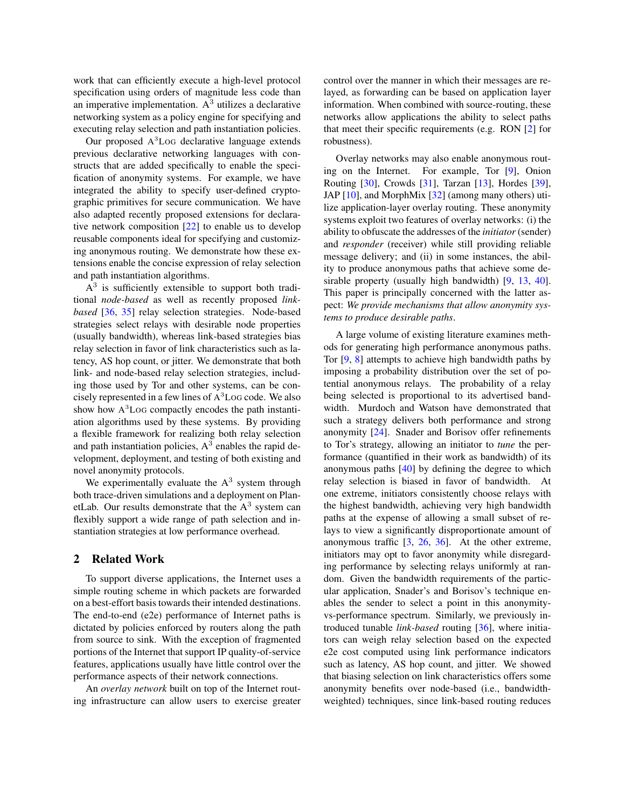work that can efficiently execute a high-level protocol specification using orders of magnitude less code than an imperative implementation.  $A<sup>3</sup>$  utilizes a declarative networking system as a policy engine for specifying and executing relay selection and path instantiation policies.

Our proposed A <sup>3</sup>LOG declarative language extends previous declarative networking languages with constructs that are added specifically to enable the specification of anonymity systems. For example, we have integrated the ability to specify user-defined cryptographic primitives for secure communication. We have also adapted recently proposed extensions for declarative network composition [\[22\]](#page-19-10) to enable us to develop reusable components ideal for specifying and customizing anonymous routing. We demonstrate how these extensions enable the concise expression of relay selection and path instantiation algorithms.

 $A<sup>3</sup>$  is sufficiently extensible to support both traditional *node-based* as well as recently proposed *linkbased* [\[36,](#page-19-7) [35\]](#page-19-11) relay selection strategies. Node-based strategies select relays with desirable node properties (usually bandwidth), whereas link-based strategies bias relay selection in favor of link characteristics such as latency, AS hop count, or jitter. We demonstrate that both link- and node-based relay selection strategies, including those used by Tor and other systems, can be concisely represented in a few lines of A <sup>3</sup>LOG code. We also show how  $A<sup>3</sup>$  Log compactly encodes the path instantiation algorithms used by these systems. By providing a flexible framework for realizing both relay selection and path instantiation policies,  $A<sup>3</sup>$  enables the rapid development, deployment, and testing of both existing and novel anonymity protocols.

We experimentally evaluate the  $A<sup>3</sup>$  system through both trace-driven simulations and a deployment on PlanetLab. Our results demonstrate that the  $A<sup>3</sup>$  system can flexibly support a wide range of path selection and instantiation strategies at low performance overhead.

### 2 Related Work

To support diverse applications, the Internet uses a simple routing scheme in which packets are forwarded on a best-effort basis towards their intended destinations. The end-to-end (e2e) performance of Internet paths is dictated by policies enforced by routers along the path from source to sink. With the exception of fragmented portions of the Internet that support IP quality-of-service features, applications usually have little control over the performance aspects of their network connections.

An *overlay network* built on top of the Internet routing infrastructure can allow users to exercise greater

control over the manner in which their messages are relayed, as forwarding can be based on application layer information. When combined with source-routing, these networks allow applications the ability to select paths that meet their specific requirements (e.g. RON [\[2\]](#page-18-7) for robustness).

Overlay networks may also enable anonymous routing on the Internet. For example, Tor [\[9\]](#page-18-0), Onion Routing [\[30\]](#page-19-1), Crowds [\[31\]](#page-19-0), Tarzan [\[13\]](#page-18-1), Hordes [\[39\]](#page-19-2), JAP [\[10\]](#page-18-3), and MorphMix [\[32\]](#page-19-4) (among many others) utilize application-layer overlay routing. These anonymity systems exploit two features of overlay networks: (i) the ability to obfuscate the addresses of the *initiator*(sender) and *responder* (receiver) while still providing reliable message delivery; and (ii) in some instances, the ability to produce anonymous paths that achieve some de-sirable property (usually high bandwidth) [\[9,](#page-18-0) [13,](#page-18-1) [40\]](#page-19-8). This paper is principally concerned with the latter aspect: *We provide mechanisms that allow anonymity systems to produce desirable paths*.

A large volume of existing literature examines methods for generating high performance anonymous paths. Tor [\[9,](#page-18-0) [8\]](#page-18-4) attempts to achieve high bandwidth paths by imposing a probability distribution over the set of potential anonymous relays. The probability of a relay being selected is proportional to its advertised bandwidth. Murdoch and Watson have demonstrated that such a strategy delivers both performance and strong anonymity [\[24\]](#page-19-9). Snader and Borisov offer refinements to Tor's strategy, allowing an initiator to *tune* the performance (quantified in their work as bandwidth) of its anonymous paths [\[40\]](#page-19-8) by defining the degree to which relay selection is biased in favor of bandwidth. At one extreme, initiators consistently choose relays with the highest bandwidth, achieving very high bandwidth paths at the expense of allowing a small subset of relays to view a significantly disproportionate amount of anonymous traffic [\[3,](#page-18-8) [26,](#page-19-12) [36\]](#page-19-7). At the other extreme, initiators may opt to favor anonymity while disregarding performance by selecting relays uniformly at random. Given the bandwidth requirements of the particular application, Snader's and Borisov's technique enables the sender to select a point in this anonymityvs-performance spectrum. Similarly, we previously introduced tunable *link-based* routing [\[36\]](#page-19-7), where initiators can weigh relay selection based on the expected e2e cost computed using link performance indicators such as latency, AS hop count, and jitter. We showed that biasing selection on link characteristics offers some anonymity benefits over node-based (i.e., bandwidthweighted) techniques, since link-based routing reduces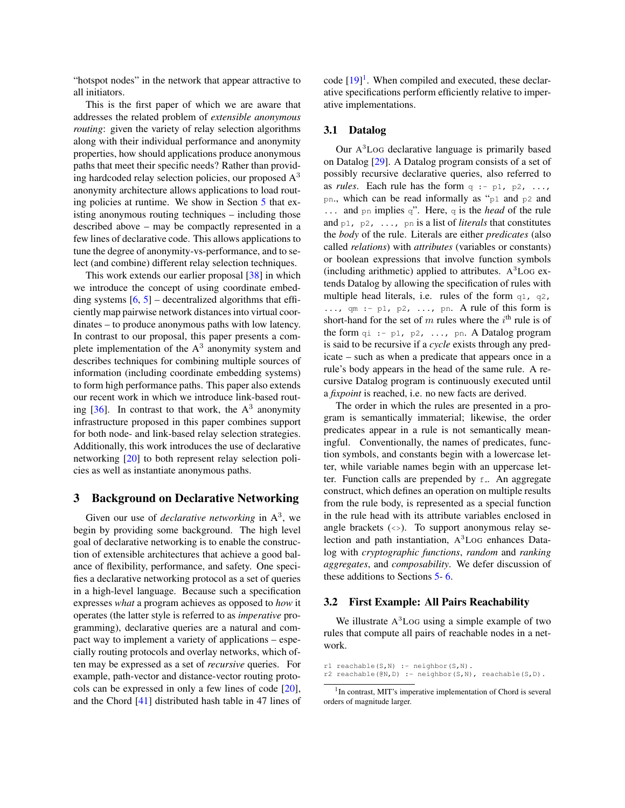"hotspot nodes" in the network that appear attractive to all initiators.

This is the first paper of which we are aware that addresses the related problem of *extensible anonymous routing*: given the variety of relay selection algorithms along with their individual performance and anonymity properties, how should applications produce anonymous paths that meet their specific needs? Rather than providing hardcoded relay selection policies, our proposed  $A<sup>3</sup>$ anonymity architecture allows applications to load routing policies at runtime. We show in Section [5](#page-6-0) that existing anonymous routing techniques – including those described above – may be compactly represented in a few lines of declarative code. This allows applications to tune the degree of anonymity-vs-performance, and to select (and combine) different relay selection techniques.

This work extends our earlier proposal [\[38\]](#page-19-6) in which we introduce the concept of using coordinate embedding systems  $[6, 5]$  $[6, 5]$  $[6, 5]$  – decentralized algorithms that efficiently map pairwise network distances into virtual coordinates – to produce anonymous paths with low latency. In contrast to our proposal, this paper presents a complete implementation of the  $A<sup>3</sup>$  anonymity system and describes techniques for combining multiple sources of information (including coordinate embedding systems) to form high performance paths. This paper also extends our recent work in which we introduce link-based routing  $[36]$ . In contrast to that work, the  $A<sup>3</sup>$  anonymity infrastructure proposed in this paper combines support for both node- and link-based relay selection strategies. Additionally, this work introduces the use of declarative networking [\[20\]](#page-18-5) to both represent relay selection policies as well as instantiate anonymous paths.

#### <span id="page-2-1"></span>3 Background on Declarative Networking

Given our use of *declarative networking* in  $A<sup>3</sup>$ , we begin by providing some background. The high level goal of declarative networking is to enable the construction of extensible architectures that achieve a good balance of flexibility, performance, and safety. One specifies a declarative networking protocol as a set of queries in a high-level language. Because such a specification expresses *what* a program achieves as opposed to *how* it operates (the latter style is referred to as *imperative* programming), declarative queries are a natural and compact way to implement a variety of applications – especially routing protocols and overlay networks, which often may be expressed as a set of *recursive* queries. For example, path-vector and distance-vector routing protocols can be expressed in only a few lines of code [\[20\]](#page-18-5), and the Chord [\[41\]](#page-19-13) distributed hash table in 47 lines of

code  $[19]$ <sup>[1](#page-2-0)</sup>. When compiled and executed, these declarative specifications perform efficiently relative to imperative implementations.

### 3.1 Datalog

Our A<sup>3</sup>LoG declarative language is primarily based on Datalog [\[29\]](#page-19-14). A Datalog program consists of a set of possibly recursive declarative queries, also referred to as *rules*. Each rule has the form  $q := p1$ ,  $p2$ , ..., pn., which can be read informally as "p1 and p2 and ... and pn implies q". Here, q is the *head* of the rule and p1, p2, ..., pn is a list of *literals* that constitutes the *body* of the rule. Literals are either *predicates* (also called *relations*) with *attributes* (variables or constants) or boolean expressions that involve function symbols (including arithmetic) applied to attributes.  $A<sup>3</sup>$ LoG extends Datalog by allowing the specification of rules with multiple head literals, i.e. rules of the form  $q_1$ ,  $q_2$ ,  $\ldots$ , qm :- p1, p2,  $\ldots$ , pn. A rule of this form is short-hand for the set of m rules where the  $i<sup>th</sup>$  rule is of the form  $qi \rightarrow p1$ ,  $p2$ , ..., pn. A Datalog program is said to be recursive if a *cycle* exists through any predicate – such as when a predicate that appears once in a rule's body appears in the head of the same rule. A recursive Datalog program is continuously executed until a *fixpoint* is reached, i.e. no new facts are derived.

The order in which the rules are presented in a program is semantically immaterial; likewise, the order predicates appear in a rule is not semantically meaningful. Conventionally, the names of predicates, function symbols, and constants begin with a lowercase letter, while variable names begin with an uppercase letter. Function calls are prepended by  $f$ . An aggregate construct, which defines an operation on multiple results from the rule body, is represented as a special function in the rule head with its attribute variables enclosed in angle brackets  $(\le)$ . To support anonymous relay selection and path instantiation, A <sup>3</sup>LOG enhances Datalog with *cryptographic functions*, *random* and *ranking aggregates*, and *composability*. We defer discussion of these additions to Sections [5-](#page-6-0) [6.](#page-9-0)

#### 3.2 First Example: All Pairs Reachability

We illustrate  $A<sup>3</sup>$  Log using a simple example of two rules that compute all pairs of reachable nodes in a network.

 $r1$  reachable(S,N) :- neighbor(S,N). r2 reachable( $@N, D$ ) :- neighbor(S,N), reachable(S,D).

<span id="page-2-0"></span><sup>&</sup>lt;sup>1</sup>In contrast, MIT's imperative implementation of Chord is several orders of magnitude larger.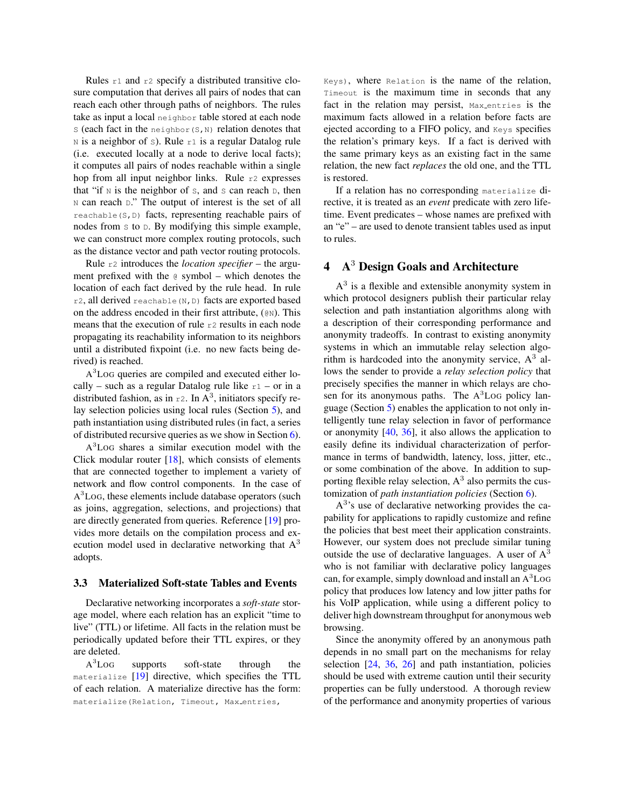Rules r1 and r2 specify a distributed transitive closure computation that derives all pairs of nodes that can reach each other through paths of neighbors. The rules take as input a local neighbor table stored at each node  $S$  (each fact in the neighbor( $S$ , N) relation denotes that  $N$  is a neighbor of s). Rule r1 is a regular Datalog rule (i.e. executed locally at a node to derive local facts); it computes all pairs of nodes reachable within a single hop from all input neighbor links. Rule r2 expresses that "if  $N$  is the neighbor of  $S$ , and  $S$  can reach  $D$ , then N can reach D." The output of interest is the set of all reachable( $S$ ,  $D$ ) facts, representing reachable pairs of nodes from  $s$  to  $D$ . By modifying this simple example, we can construct more complex routing protocols, such as the distance vector and path vector routing protocols.

Rule r2 introduces the *location specifier* – the argument prefixed with the @ symbol – which denotes the location of each fact derived by the rule head. In rule  $r2$ , all derived reachable (N, D) facts are exported based on the address encoded in their first attribute, (@N). This means that the execution of rule r2 results in each node propagating its reachability information to its neighbors until a distributed fixpoint (i.e. no new facts being derived) is reached.

A<sup>3</sup>LoG queries are compiled and executed either locally – such as a regular Datalog rule like  $r1$  – or in a distributed fashion, as in  $r^2$ . In A<sup>3</sup>, initiators specify relay selection policies using local rules (Section [5\)](#page-6-0), and path instantiation using distributed rules (in fact, a series of distributed recursive queries as we show in Section [6\)](#page-9-0).

A <sup>3</sup>LOG shares a similar execution model with the Click modular router  $[18]$ , which consists of elements that are connected together to implement a variety of network and flow control components. In the case of A<sup>3</sup>Log, these elements include database operators (such as joins, aggregation, selections, and projections) that are directly generated from queries. Reference [\[19\]](#page-18-6) provides more details on the compilation process and execution model used in declarative networking that  $A<sup>3</sup>$ adopts.

#### 3.3 Materialized Soft-state Tables and Events

Declarative networking incorporates a *soft-state* storage model, where each relation has an explicit "time to live" (TTL) or lifetime. All facts in the relation must be periodically updated before their TTL expires, or they are deleted.

 $A^3$ LOG supports soft-state through the materialize [\[19\]](#page-18-6) directive, which specifies the TTL of each relation. A materialize directive has the form: materialize(Relation, Timeout, Max\_entries,

Keys), where Relation is the name of the relation, Timeout is the maximum time in seconds that any fact in the relation may persist, Max entries is the maximum facts allowed in a relation before facts are ejected according to a FIFO policy, and Keys specifies the relation's primary keys. If a fact is derived with the same primary keys as an existing fact in the same relation, the new fact *replaces* the old one, and the TTL is restored.

If a relation has no corresponding materialize directive, it is treated as an *event* predicate with zero lifetime. Event predicates – whose names are prefixed with an "e" – are used to denote transient tables used as input to rules.

### 4 A<sup>3</sup> Design Goals and Architecture

A<sup>3</sup> is a flexible and extensible anonymity system in which protocol designers publish their particular relay selection and path instantiation algorithms along with a description of their corresponding performance and anonymity tradeoffs. In contrast to existing anonymity systems in which an immutable relay selection algorithm is hardcoded into the anonymity service,  $A<sup>3</sup>$  allows the sender to provide a *relay selection policy* that precisely specifies the manner in which relays are chosen for its anonymous paths. The  $A<sup>3</sup>$  Log policy language (Section [5\)](#page-6-0) enables the application to not only intelligently tune relay selection in favor of performance or anonymity [\[40,](#page-19-8) [36\]](#page-19-7), it also allows the application to easily define its individual characterization of performance in terms of bandwidth, latency, loss, jitter, etc., or some combination of the above. In addition to supporting flexible relay selection,  $A<sup>3</sup>$  also permits the customization of *path instantiation policies* (Section [6\)](#page-9-0).

A 3 's use of declarative networking provides the capability for applications to rapidly customize and refine the policies that best meet their application constraints. However, our system does not preclude similar tuning outside the use of declarative languages. A user of  $A<sup>3</sup>$ who is not familiar with declarative policy languages can, for example, simply download and install an A <sup>3</sup>LOG policy that produces low latency and low jitter paths for his VoIP application, while using a different policy to deliver high downstream throughput for anonymous web browsing.

Since the anonymity offered by an anonymous path depends in no small part on the mechanisms for relay selection [\[24,](#page-19-9) [36,](#page-19-7) [26\]](#page-19-12) and path instantiation, policies should be used with extreme caution until their security properties can be fully understood. A thorough review of the performance and anonymity properties of various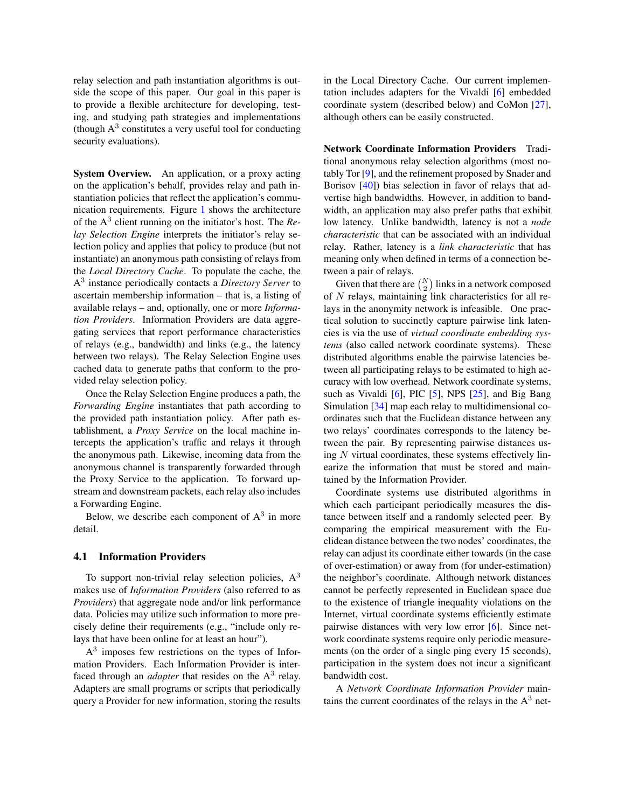relay selection and path instantiation algorithms is outside the scope of this paper. Our goal in this paper is to provide a flexible architecture for developing, testing, and studying path strategies and implementations (though  $A<sup>3</sup>$  constitutes a very useful tool for conducting security evaluations).

System Overview. An application, or a proxy acting on the application's behalf, provides relay and path instantiation policies that reflect the application's communication requirements. Figure [1](#page-5-0) shows the architecture of the A<sup>3</sup> client running on the initiator's host. The *Relay Selection Engine* interprets the initiator's relay selection policy and applies that policy to produce (but not instantiate) an anonymous path consisting of relays from the *Local Directory Cache*. To populate the cache, the A 3 instance periodically contacts a *Directory Server* to ascertain membership information – that is, a listing of available relays – and, optionally, one or more *Information Providers*. Information Providers are data aggregating services that report performance characteristics of relays (e.g., bandwidth) and links (e.g., the latency between two relays). The Relay Selection Engine uses cached data to generate paths that conform to the provided relay selection policy.

Once the Relay Selection Engine produces a path, the *Forwarding Engine* instantiates that path according to the provided path instantiation policy. After path establishment, a *Proxy Service* on the local machine intercepts the application's traffic and relays it through the anonymous path. Likewise, incoming data from the anonymous channel is transparently forwarded through the Proxy Service to the application. To forward upstream and downstream packets, each relay also includes a Forwarding Engine.

Below, we describe each component of  $A<sup>3</sup>$  in more detail.

### 4.1 Information Providers

To support non-trivial relay selection policies,  $A<sup>3</sup>$ makes use of *Information Providers* (also referred to as *Providers*) that aggregate node and/or link performance data. Policies may utilize such information to more precisely define their requirements (e.g., "include only relays that have been online for at least an hour").

A<sup>3</sup> imposes few restrictions on the types of Information Providers. Each Information Provider is interfaced through an *adapter* that resides on the  $A<sup>3</sup>$  relay. Adapters are small programs or scripts that periodically query a Provider for new information, storing the results

in the Local Directory Cache. Our current implementation includes adapters for the Vivaldi [\[6\]](#page-18-9) embedded coordinate system (described below) and CoMon [\[27\]](#page-19-15), although others can be easily constructed.

Network Coordinate Information Providers Traditional anonymous relay selection algorithms (most notably Tor [\[9\]](#page-18-0), and the refinement proposed by Snader and Borisov [\[40\]](#page-19-8)) bias selection in favor of relays that advertise high bandwidths. However, in addition to bandwidth, an application may also prefer paths that exhibit low latency. Unlike bandwidth, latency is not a *node characteristic* that can be associated with an individual relay. Rather, latency is a *link characteristic* that has meaning only when defined in terms of a connection between a pair of relays.

Given that there are  $\binom{N}{2}$  links in a network composed of N relays, maintaining link characteristics for all relays in the anonymity network is infeasible. One practical solution to succinctly capture pairwise link latencies is via the use of *virtual coordinate embedding systems* (also called network coordinate systems). These distributed algorithms enable the pairwise latencies between all participating relays to be estimated to high accuracy with low overhead. Network coordinate systems, such as Vivaldi [\[6\]](#page-18-9), PIC [\[5\]](#page-18-10), NPS [\[25\]](#page-19-16), and Big Bang Simulation [\[34\]](#page-19-17) map each relay to multidimensional coordinates such that the Euclidean distance between any two relays' coordinates corresponds to the latency between the pair. By representing pairwise distances using  $N$  virtual coordinates, these systems effectively linearize the information that must be stored and maintained by the Information Provider.

Coordinate systems use distributed algorithms in which each participant periodically measures the distance between itself and a randomly selected peer. By comparing the empirical measurement with the Euclidean distance between the two nodes' coordinates, the relay can adjust its coordinate either towards (in the case of over-estimation) or away from (for under-estimation) the neighbor's coordinate. Although network distances cannot be perfectly represented in Euclidean space due to the existence of triangle inequality violations on the Internet, virtual coordinate systems efficiently estimate pairwise distances with very low error [\[6\]](#page-18-9). Since network coordinate systems require only periodic measurements (on the order of a single ping every 15 seconds), participation in the system does not incur a significant bandwidth cost.

A *Network Coordinate Information Provider* maintains the current coordinates of the relays in the  $A<sup>3</sup>$  net-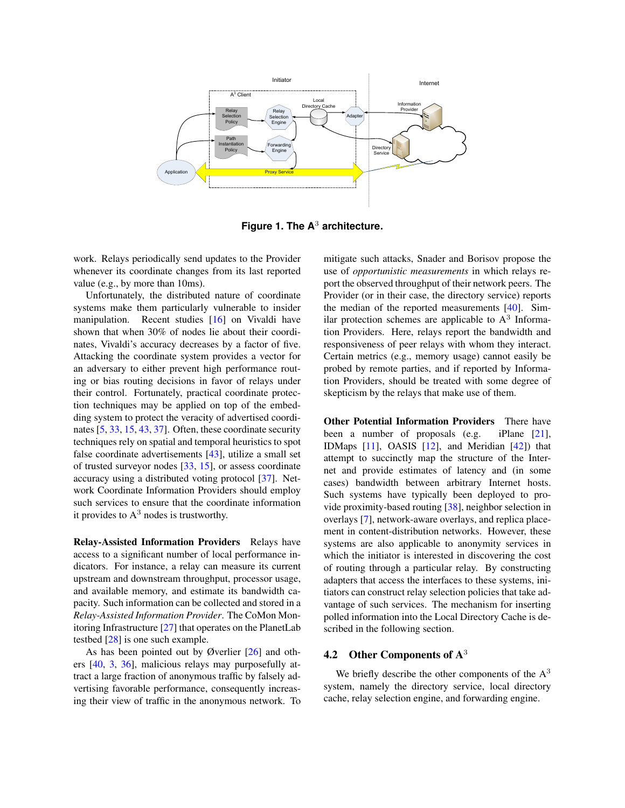

<span id="page-5-0"></span>**Figure 1. The A**<sup>3</sup> **architecture.**

work. Relays periodically send updates to the Provider whenever its coordinate changes from its last reported value (e.g., by more than 10ms).

Unfortunately, the distributed nature of coordinate systems make them particularly vulnerable to insider manipulation. Recent studies [\[16\]](#page-18-12) on Vivaldi have shown that when 30% of nodes lie about their coordinates, Vivaldi's accuracy decreases by a factor of five. Attacking the coordinate system provides a vector for an adversary to either prevent high performance routing or bias routing decisions in favor of relays under their control. Fortunately, practical coordinate protection techniques may be applied on top of the embedding system to protect the veracity of advertised coordinates [\[5,](#page-18-10) [33,](#page-19-18) [15,](#page-18-13) [43,](#page-19-19) [37\]](#page-19-20). Often, these coordinate security techniques rely on spatial and temporal heuristics to spot false coordinate advertisements [\[43\]](#page-19-19), utilize a small set of trusted surveyor nodes [\[33,](#page-19-18) [15\]](#page-18-13), or assess coordinate accuracy using a distributed voting protocol [\[37\]](#page-19-20). Network Coordinate Information Providers should employ such services to ensure that the coordinate information it provides to  $A<sup>3</sup>$  nodes is trustworthy.

Relay-Assisted Information Providers Relays have access to a significant number of local performance indicators. For instance, a relay can measure its current upstream and downstream throughput, processor usage, and available memory, and estimate its bandwidth capacity. Such information can be collected and stored in a *Relay-Assisted Information Provider*. The CoMon Monitoring Infrastructure [\[27\]](#page-19-15) that operates on the PlanetLab testbed [\[28\]](#page-19-21) is one such example.

As has been pointed out by Øverlier [\[26\]](#page-19-12) and others [\[40,](#page-19-8) [3,](#page-18-8) [36\]](#page-19-7), malicious relays may purposefully attract a large fraction of anonymous traffic by falsely advertising favorable performance, consequently increasing their view of traffic in the anonymous network. To

mitigate such attacks, Snader and Borisov propose the use of *opportunistic measurements* in which relays report the observed throughput of their network peers. The Provider (or in their case, the directory service) reports the median of the reported measurements [\[40\]](#page-19-8). Similar protection schemes are applicable to  $A<sup>3</sup>$  Information Providers. Here, relays report the bandwidth and responsiveness of peer relays with whom they interact. Certain metrics (e.g., memory usage) cannot easily be probed by remote parties, and if reported by Information Providers, should be treated with some degree of skepticism by the relays that make use of them.

Other Potential Information Providers There have been a number of proposals (e.g. iPlane [\[21\]](#page-18-14), IDMaps [\[11\]](#page-18-15), OASIS [\[12\]](#page-18-16), and Meridian [\[42\]](#page-19-22)) that attempt to succinctly map the structure of the Internet and provide estimates of latency and (in some cases) bandwidth between arbitrary Internet hosts. Such systems have typically been deployed to provide proximity-based routing [\[38\]](#page-19-6), neighbor selection in overlays [\[7\]](#page-18-17), network-aware overlays, and replica placement in content-distribution networks. However, these systems are also applicable to anonymity services in which the initiator is interested in discovering the cost of routing through a particular relay. By constructing adapters that access the interfaces to these systems, initiators can construct relay selection policies that take advantage of such services. The mechanism for inserting polled information into the Local Directory Cache is described in the following section.

### 4.2 Other Components of A<sup>3</sup>

We briefly describe the other components of the  $A<sup>3</sup>$ system, namely the directory service, local directory cache, relay selection engine, and forwarding engine.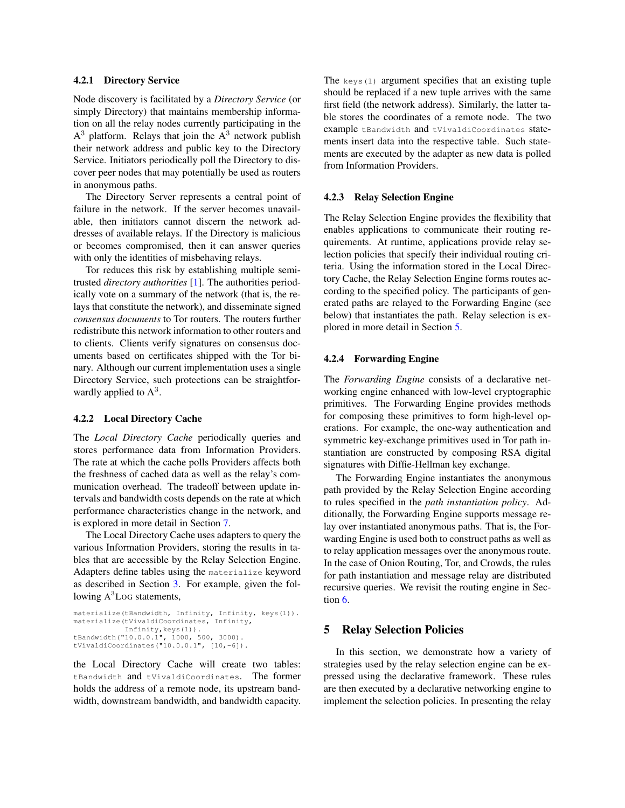#### 4.2.1 Directory Service

Node discovery is facilitated by a *Directory Service* (or simply Directory) that maintains membership information on all the relay nodes currently participating in the  $A<sup>3</sup>$  platform. Relays that join the  $A<sup>3</sup>$  network publish their network address and public key to the Directory Service. Initiators periodically poll the Directory to discover peer nodes that may potentially be used as routers in anonymous paths.

The Directory Server represents a central point of failure in the network. If the server becomes unavailable, then initiators cannot discern the network addresses of available relays. If the Directory is malicious or becomes compromised, then it can answer queries with only the identities of misbehaving relays.

Tor reduces this risk by establishing multiple semitrusted *directory authorities* [\[1\]](#page-18-18). The authorities periodically vote on a summary of the network (that is, the relays that constitute the network), and disseminate signed *consensus documents* to Tor routers. The routers further redistribute this network information to other routers and to clients. Clients verify signatures on consensus documents based on certificates shipped with the Tor binary. Although our current implementation uses a single Directory Service, such protections can be straightforwardly applied to  $A^3$ .

#### <span id="page-6-1"></span>4.2.2 Local Directory Cache

The *Local Directory Cache* periodically queries and stores performance data from Information Providers. The rate at which the cache polls Providers affects both the freshness of cached data as well as the relay's communication overhead. The tradeoff between update intervals and bandwidth costs depends on the rate at which performance characteristics change in the network, and is explored in more detail in Section [7.](#page-11-0)

The Local Directory Cache uses adapters to query the various Information Providers, storing the results in tables that are accessible by the Relay Selection Engine. Adapters define tables using the materialize keyword as described in Section [3.](#page-2-1) For example, given the following A<sup>3</sup>LoG statements,

```
materialize(tBandwidth, Infinity, Infinity, keys(1)).
materialize(tVivaldiCoordinates, Infinity,
            Infinity,keys(1)).
tBandwidth("10.0.0.1", 1000, 500, 3000).
tVivaldiCoordinates("10.0.0.1", [10,-6]).
```
the Local Directory Cache will create two tables: tBandwidth and tVivaldiCoordinates. The former holds the address of a remote node, its upstream bandwidth, downstream bandwidth, and bandwidth capacity.

The  $k$ eys(1) argument specifies that an existing tuple should be replaced if a new tuple arrives with the same first field (the network address). Similarly, the latter table stores the coordinates of a remote node. The two example tBandwidth and tVivaldiCoordinates statements insert data into the respective table. Such statements are executed by the adapter as new data is polled from Information Providers.

### 4.2.3 Relay Selection Engine

The Relay Selection Engine provides the flexibility that enables applications to communicate their routing requirements. At runtime, applications provide relay selection policies that specify their individual routing criteria. Using the information stored in the Local Directory Cache, the Relay Selection Engine forms routes according to the specified policy. The participants of generated paths are relayed to the Forwarding Engine (see below) that instantiates the path. Relay selection is explored in more detail in Section [5.](#page-6-0)

#### 4.2.4 Forwarding Engine

The *Forwarding Engine* consists of a declarative networking engine enhanced with low-level cryptographic primitives. The Forwarding Engine provides methods for composing these primitives to form high-level operations. For example, the one-way authentication and symmetric key-exchange primitives used in Tor path instantiation are constructed by composing RSA digital signatures with Diffie-Hellman key exchange.

The Forwarding Engine instantiates the anonymous path provided by the Relay Selection Engine according to rules specified in the *path instantiation policy*. Additionally, the Forwarding Engine supports message relay over instantiated anonymous paths. That is, the Forwarding Engine is used both to construct paths as well as to relay application messages over the anonymous route. In the case of Onion Routing, Tor, and Crowds, the rules for path instantiation and message relay are distributed recursive queries. We revisit the routing engine in Section [6.](#page-9-0)

### <span id="page-6-0"></span>5 Relay Selection Policies

In this section, we demonstrate how a variety of strategies used by the relay selection engine can be expressed using the declarative framework. These rules are then executed by a declarative networking engine to implement the selection policies. In presenting the relay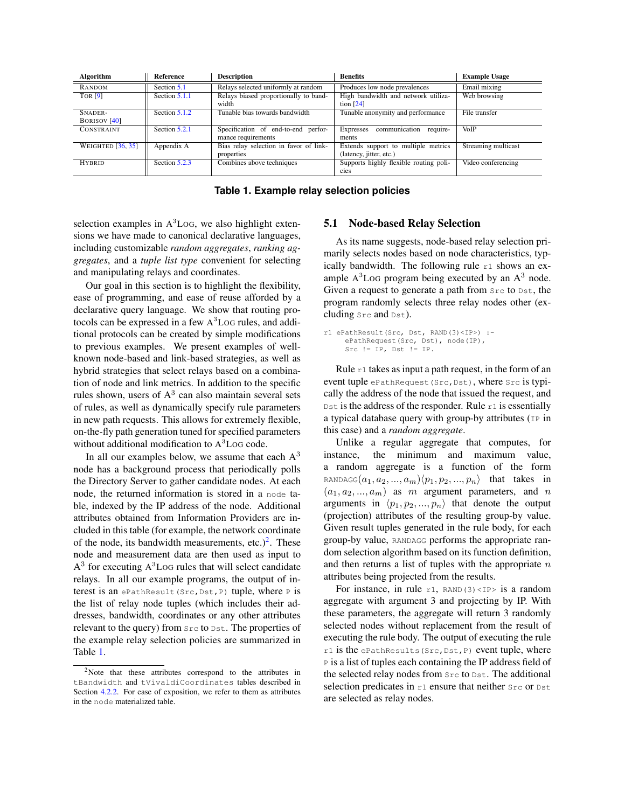| Algorithm                      | Reference     | <b>Description</b>                                        | <b>Benefits</b>                                                | <b>Example Usage</b> |
|--------------------------------|---------------|-----------------------------------------------------------|----------------------------------------------------------------|----------------------|
| RANDOM                         | Section 5.1   | Relays selected uniformly at random                       | Produces low node prevalences                                  | Email mixing         |
| <b>TOR</b> [9]                 | Section 5.1.1 | Relays biased proportionally to band-<br>width            | High bandwidth and network utiliza-<br>tion $[24]$             | Web browsing         |
| SNADER-<br><b>BORISOV</b> [40] | Section 5.1.2 | Tunable bias towards bandwidth                            | Tunable anonymity and performance                              | File transfer        |
| <b>CONSTRAINT</b>              | Section 5.2.1 | Specification of end-to-end perfor-<br>mance requirements | communication<br><b>Expresses</b><br>require-<br>ments         | <b>VoIP</b>          |
| WEIGHTED $[36, 35]$            | Appendix A    | Bias relay selection in favor of link-<br>properties      | Extends support to multiple metrics<br>(latency, jitter, etc.) | Streaming multicast  |
| <b>HYBRID</b>                  | Section 5.2.3 | Combines above techniques                                 | Supports highly flexible routing poli-<br>cies                 | Video conferencing   |

<span id="page-7-2"></span>**Table 1. Example relay selection policies**

selection examples in  $A<sup>3</sup>$  Log, we also highlight extensions we have made to canonical declarative languages, including customizable *random aggregates*, *ranking aggregates*, and a *tuple list type* convenient for selecting and manipulating relays and coordinates.

Our goal in this section is to highlight the flexibility, ease of programming, and ease of reuse afforded by a declarative query language. We show that routing protocols can be expressed in a few A <sup>3</sup>LOG rules, and additional protocols can be created by simple modifications to previous examples. We present examples of wellknown node-based and link-based strategies, as well as hybrid strategies that select relays based on a combination of node and link metrics. In addition to the specific rules shown, users of  $A<sup>3</sup>$  can also maintain several sets of rules, as well as dynamically specify rule parameters in new path requests. This allows for extremely flexible, on-the-fly path generation tuned for specified parameters without additional modification to  $A<sup>3</sup>$  Log code.

In all our examples below, we assume that each  $A<sup>3</sup>$ node has a background process that periodically polls the Directory Server to gather candidate nodes. At each node, the returned information is stored in a node table, indexed by the IP address of the node. Additional attributes obtained from Information Providers are included in this table (for example, the network coordinate of the node, its bandwidth measurements, etc.)<sup>[2](#page-7-1)</sup>. These node and measurement data are then used as input to  $A<sup>3</sup>$  for executing  $A<sup>3</sup>$  Log rules that will select candidate relays. In all our example programs, the output of interest is an ePathResult (Src, Dst, P) tuple, where  $P$  is the list of relay node tuples (which includes their addresses, bandwidth, coordinates or any other attributes relevant to the query) from Src to Dst. The properties of the example relay selection policies are summarized in Table [1.](#page-7-2)

### <span id="page-7-0"></span>5.1 Node-based Relay Selection

As its name suggests, node-based relay selection primarily selects nodes based on node characteristics, typically bandwidth. The following rule  $r1$  shows an example  $A<sup>3</sup>$ LoG program being executed by an  $A<sup>3</sup>$  node. Given a request to generate a path from Src to Dst, the program randomly selects three relay nodes other (excluding Src and Dst).

```
r1 ePathResult(Src, Dst, RAND(3)<IP>) :-
     ePathRequest(Src, Dst), node(IP),
    Src != IP, Dst != IP.
```
Rule  $r_1$  takes as input a path request, in the form of an event tuple ePathRequest (Src, Dst), where Src is typically the address of the node that issued the request, and Dst is the address of the responder. Rule  $r1$  is essentially a typical database query with group-by attributes  $(1P \text{ in } I)$ this case) and a *random aggregate*.

Unlike a regular aggregate that computes, for instance, the minimum and maximum value, a random aggregate is a function of the form RANDAGG $(a_1, a_2, ..., a_m)(p_1, p_2, ..., p_n)$  that takes in  $(a_1, a_2, ..., a_m)$  as m argument parameters, and n arguments in  $\langle p_1, p_2, ..., p_n \rangle$  that denote the output (projection) attributes of the resulting group-by value. Given result tuples generated in the rule body, for each group-by value, RANDAGG performs the appropriate random selection algorithm based on its function definition, and then returns a list of tuples with the appropriate  $n$ attributes being projected from the results.

For instance, in rule  $r1$ , RAND(3)<IP> is a random aggregate with argument 3 and projecting by IP. With these parameters, the aggregate will return 3 randomly selected nodes without replacement from the result of executing the rule body. The output of executing the rule r1 is the ePathResults(Src,Dst,P) event tuple, where P is a list of tuples each containing the IP address field of the selected relay nodes from Src to Dst. The additional selection predicates in  $r1$  ensure that neither  $src$  or  $Dst$ are selected as relay nodes.

<span id="page-7-1"></span><sup>2</sup>Note that these attributes correspond to the attributes in tBandwidth and tVivaldiCoordinates tables described in Section [4.2.2.](#page-6-1) For ease of exposition, we refer to them as attributes in the node materialized table.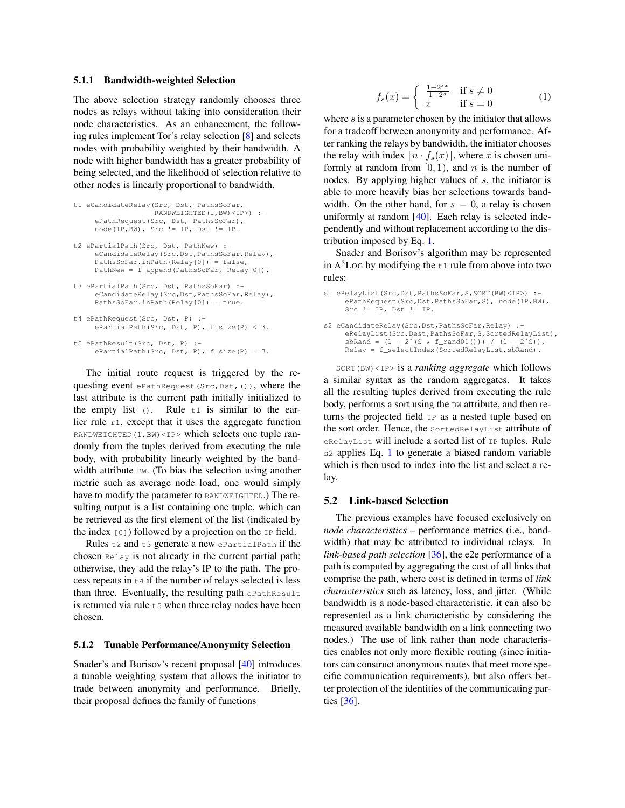#### <span id="page-8-0"></span>5.1.1 Bandwidth-weighted Selection

The above selection strategy randomly chooses three nodes as relays without taking into consideration their node characteristics. As an enhancement, the following rules implement Tor's relay selection [\[8\]](#page-18-4) and selects nodes with probability weighted by their bandwidth. A node with higher bandwidth has a greater probability of being selected, and the likelihood of selection relative to other nodes is linearly proportional to bandwidth.

```
t1 eCandidateRelay(Src, Dst, PathsSoFar,
                   RANDWEIGHTED(1,BW)<IP>) :-
     ePathRequest(Src, Dst, PathsSoFar),
    node(IP,BW), Src != IP, Dst != IP.
t2 ePartialPath(Src, Dst, PathNew) :-
     eCandidateRelay(Src,Dst,PathsSoFar,Relay),
     PathsSoFar.inPath(Relay[0]) = false,
    PathNew = f_append(PathsSoFar, Relay[0]).
t3 ePartialPath(Src, Dst, PathsSoFar) :-
     eCandidateRelay(Src,Dst,PathsSoFar,Relay),
    PathsSoFar.inPath(Relay[0]) = true.
t4 ePathRequest(Src, Dst, P) :-
    ePartialPath(Src, Dst, P), f_size(P) < 3.
t5 ePathResult(Src, Dst, P) :-
    ePartialPath(Src, Dst, P), f_size(P) = 3.
```
The initial route request is triggered by the requesting event ePathRequest(Src,Dst,()), where the last attribute is the current path initially initialized to the empty list  $()$ . Rule  $t1$  is similar to the earlier rule  $r_1$ , except that it uses the aggregate function RANDWEIGHTED  $(1, BW)$  <IP> which selects one tuple randomly from the tuples derived from executing the rule body, with probability linearly weighted by the bandwidth attribute BW. (To bias the selection using another metric such as average node load, one would simply have to modify the parameter to RANDWEIGHTED.) The resulting output is a list containing one tuple, which can be retrieved as the first element of the list (indicated by the index  $[0]$ ) followed by a projection on the  $IP$  field.

Rules  $t2$  and  $t3$  generate a new ePartialPath if the chosen Relay is not already in the current partial path; otherwise, they add the relay's IP to the path. The process repeats in  $t_4$  if the number of relays selected is less than three. Eventually, the resulting path ePathResult is returned via rule  $t_5$  when three relay nodes have been chosen.

#### <span id="page-8-1"></span>5.1.2 Tunable Performance/Anonymity Selection

Snader's and Borisov's recent proposal [\[40\]](#page-19-8) introduces a tunable weighting system that allows the initiator to trade between anonymity and performance. Briefly, their proposal defines the family of functions

<span id="page-8-2"></span>
$$
f_s(x) = \begin{cases} \frac{1-2^{sx}}{1-2^s} & \text{if } s \neq 0\\ x & \text{if } s = 0 \end{cases}
$$
 (1)

where  $s$  is a parameter chosen by the initiator that allows for a tradeoff between anonymity and performance. After ranking the relays by bandwidth, the initiator chooses the relay with index  $\left| n \cdot f_s(x) \right|$ , where x is chosen uniformly at random from  $[0, 1)$ , and n is the number of nodes. By applying higher values of s, the initiator is able to more heavily bias her selections towards bandwidth. On the other hand, for  $s = 0$ , a relay is chosen uniformly at random [\[40\]](#page-19-8). Each relay is selected independently and without replacement according to the distribution imposed by Eq. [1.](#page-8-2)

Snader and Borisov's algorithm may be represented in  $A<sup>3</sup>$ Log by modifying the  $t_1$  rule from above into two rules:

```
s1 eRelayList(Src,Dst,PathsSoFar,S,SORT(BW)<IP>) :-
     ePathRequest(Src,Dst,PathsSoFar,S), node(IP,BW),
     Src != IP, Dst != IP.
s2 eCandidateRelay(Src, Dst, PathsSoFar, Relay) :-
     eRelayList(Src, Dest, PathsSoFar, S, SortedRelayList),
     sbRand = (1 - 2^{(s)} (s * f_{rand}(01))) / (1 - 2^{s}),
     Relay = f_selectIndex(SortedRelayList, sbRand).
```
SORT(BW)<IP> is a *ranking aggregate* which follows a similar syntax as the random aggregates. It takes all the resulting tuples derived from executing the rule body, performs a sort using the BW attribute, and then returns the projected field IP as a nested tuple based on the sort order. Hence, the SortedRelayList attribute of eRelayList will include a sorted list of IP tuples. Rule s2 applies Eq. [1](#page-8-2) to generate a biased random variable which is then used to index into the list and select a relay.

#### 5.2 Link-based Selection

The previous examples have focused exclusively on *node characteristics* – performance metrics (i.e., bandwidth) that may be attributed to individual relays. In *link-based path selection* [\[36\]](#page-19-7), the e2e performance of a path is computed by aggregating the cost of all links that comprise the path, where cost is defined in terms of *link characteristics* such as latency, loss, and jitter. (While bandwidth is a node-based characteristic, it can also be represented as a link characteristic by considering the measured available bandwidth on a link connecting two nodes.) The use of link rather than node characteristics enables not only more flexible routing (since initiators can construct anonymous routes that meet more specific communication requirements), but also offers better protection of the identities of the communicating parties [\[36\]](#page-19-7).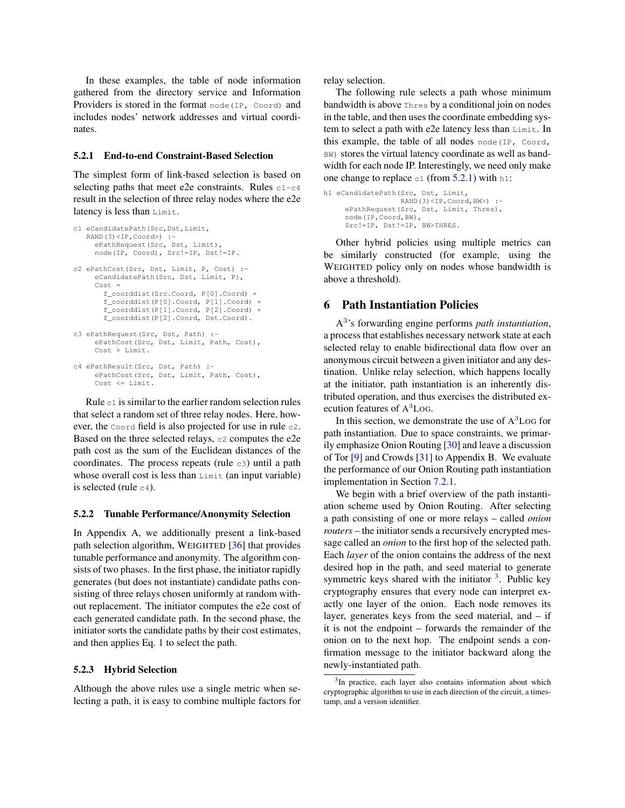In these examples, the table of node information gathered from the directory service and Information Providers is stored in the format node (IP, Coord) and includes nodes' network addresses and virtual coordinates.

#### <span id="page-9-1"></span>5.2.1 End-to-end Constraint-Based Selection

The simplest form of link-based selection is based on selecting paths that meet e2e constraints. Rules  $c1-c4$ result in the selection of three relay nodes where the e2e latency is less than Limit.

```
c1 eCandidatePath(Src,Dst,Limit,
   RAND(3)<IP,Coord>) :-
    ePathRequest(Src, Dst, Limit),
     node(IP, Coord), Src!=IP, Dst!=IP.
c2 ePathCost(Src, Dst, Limit, P, Cost) :-
     eCandidatePath(Src, Dst, Limit, P),
     Cost =
       f_coorddist(Src.Coord, P[0].Coord) +
       f_coorddist(P[0].Coord, P[1].Coord) +
       f_coorddist(P[1].Coord, P[2].Coord) +
       f_coorddist(P[2].Coord, Dst.Coord).
c3 ePathRequest(Src, Dst, Path) :
    ePathCost(Src, Dst, Limit, Path, Cost),
    Cost > Limit.
c4 ePathResult(Src, Dst, Path) :-
    ePathCost(Src, Dst, Limit, Path, Cost),
     Cost \leq Limit.
```
Rule  $c1$  is similar to the earlier random selection rules that select a random set of three relay nodes. Here, however, the Coord field is also projected for use in rule c2. Based on the three selected relays, c2 computes the e2e path cost as the sum of the Euclidean distances of the coordinates. The process repeats (rule  $c3$ ) until a path whose overall cost is less than Limit (an input variable) is selected (rule  $c4$ ).

#### 5.2.2 Tunable Performance/Anonymity Selection

In Appendix A, we additionally present a link-based path selection algorithm, WEIGHTED [\[36\]](#page-19-7) that provides tunable performance and anonymity. The algorithm consists of two phases. In the first phase, the initiator rapidly generates (but does not instantiate) candidate paths consisting of three relays chosen uniformly at random without replacement. The initiator computes the e2e cost of each generated candidate path. In the second phase, the initiator sorts the candidate paths by their cost estimates, and then applies Eq. [1](#page-8-2) to select the path.

#### <span id="page-9-2"></span>5.2.3 Hybrid Selection

Although the above rules use a single metric when selecting a path, it is easy to combine multiple factors for relay selection.

The following rule selects a path whose minimum bandwidth is above Thres by a conditional join on nodes in the table, and then uses the coordinate embedding system to select a path with e2e latency less than Limit. In this example, the table of all nodes node(IP, Coord, BW) stores the virtual latency coordinate as well as bandwidth for each node IP. Interestingly, we need only make one change to replace  $c1$  (from [5.2.1\)](#page-9-1) with h1:

h1 eCandidatePath(Src, Dst, Limit, RAND(3)<IP,Coord,BW>) : ePathRequest(Src, Dst, Limit, Thres), node(IP,Coord,BW), Src!=IP, Dst!=IP, BW>THRES.

Other hybrid policies using multiple metrics can be similarly constructed (for example, using the WEIGHTED policy only on nodes whose bandwidth is above a threshold).

### <span id="page-9-0"></span>6 Path Instantiation Policies

A 3 's forwarding engine performs *path instantiation*, a process that establishes necessary network state at each selected relay to enable bidirectional data flow over an anonymous circuit between a given initiator and any destination. Unlike relay selection, which happens locally at the initiator, path instantiation is an inherently distributed operation, and thus exercises the distributed execution features of A <sup>3</sup>LOG.

In this section, we demonstrate the use of  $A<sup>3</sup>$  Log for path instantiation. Due to space constraints, we primarily emphasize Onion Routing [\[30\]](#page-19-1) and leave a discussion of Tor [\[9\]](#page-18-0) and Crowds [\[31\]](#page-19-0) to Appendix B. We evaluate the performance of our Onion Routing path instantiation implementation in Section [7.2.1.](#page-12-0)

We begin with a brief overview of the path instantiation scheme used by Onion Routing. After selecting a path consisting of one or more relays – called *onion routers* – the initiator sends a recursively encrypted message called an *onion* to the first hop of the selected path. Each *layer* of the onion contains the address of the next desired hop in the path, and seed material to generate symmetric keys shared with the initiator <sup>[3](#page-9-3)</sup>. Public key cryptography ensures that every node can interpret exactly one layer of the onion. Each node removes its layer, generates keys from the seed material, and – if it is not the endpoint – forwards the remainder of the onion on to the next hop. The endpoint sends a confirmation message to the initiator backward along the newly-instantiated path.

<span id="page-9-3"></span><sup>&</sup>lt;sup>3</sup>In practice, each layer also contains information about which cryptographic algorithm to use in each direction of the circuit, a timestamp, and a version identifier.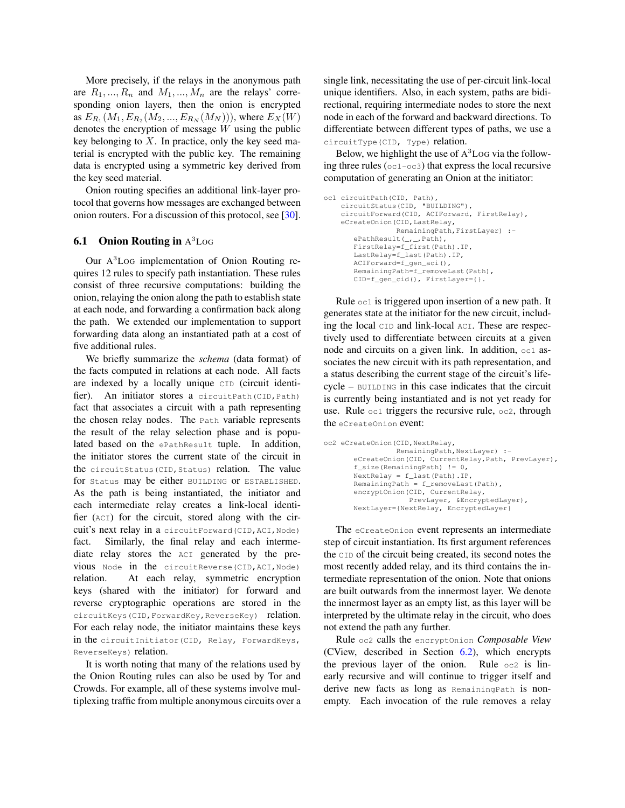More precisely, if the relays in the anonymous path are  $R_1, ..., R_n$  and  $M_1, ..., M_n$  are the relays' corresponding onion layers, then the onion is encrypted as  $E_{R_1}(M_1, E_{R_2}(M_2, ..., E_{R_N}(M_N)))$ , where  $E_X(W)$ denotes the encryption of message W using the public key belonging to  $X$ . In practice, only the key seed material is encrypted with the public key. The remaining data is encrypted using a symmetric key derived from the key seed material.

Onion routing specifies an additional link-layer protocol that governs how messages are exchanged between onion routers. For a discussion of this protocol, see [\[30\]](#page-19-1).

### **6.1 Onion Routing in**  $A^3$ **Log**

Our A <sup>3</sup>LOG implementation of Onion Routing requires 12 rules to specify path instantiation. These rules consist of three recursive computations: building the onion, relaying the onion along the path to establish state at each node, and forwarding a confirmation back along the path. We extended our implementation to support forwarding data along an instantiated path at a cost of five additional rules.

We briefly summarize the *schema* (data format) of the facts computed in relations at each node. All facts are indexed by a locally unique CID (circuit identifier). An initiator stores a circuitPath(CID, Path) fact that associates a circuit with a path representing the chosen relay nodes. The Path variable represents the result of the relay selection phase and is populated based on the ePathResult tuple. In addition, the initiator stores the current state of the circuit in the circuitStatus(CID,Status) relation. The value for Status may be either BUILDING or ESTABLISHED. As the path is being instantiated, the initiator and each intermediate relay creates a link-local identifier (ACI) for the circuit, stored along with the circuit's next relay in a circuitForward(CID,ACI,Node) fact. Similarly, the final relay and each intermediate relay stores the ACI generated by the previous Node in the circuitReverse(CID,ACI,Node) relation. At each relay, symmetric encryption keys (shared with the initiator) for forward and reverse cryptographic operations are stored in the circuitKeys(CID,ForwardKey,ReverseKey) relation. For each relay node, the initiator maintains these keys in the circuitInitiator(CID, Relay, ForwardKeys, ReverseKeys) relation.

It is worth noting that many of the relations used by the Onion Routing rules can also be used by Tor and Crowds. For example, all of these systems involve multiplexing traffic from multiple anonymous circuits over a

single link, necessitating the use of per-circuit link-local unique identifiers. Also, in each system, paths are bidirectional, requiring intermediate nodes to store the next node in each of the forward and backward directions. To differentiate between different types of paths, we use a circuitType(CID, Type) relation.

Below, we highlight the use of  $A<sup>3</sup>$  Log via the following three rules (oc1-oc3) that express the local recursive computation of generating an Onion at the initiator:

```
oc1 circuitPath(CID, Path),
    circuitStatus(CID, "BUILDING"),
    circuitForward(CID, ACIForward, FirstRelay),
    eCreateOnion(CID, LastRelay,
                 RemainingPath,FirstLayer) :-
       ePathResult(_,_,Path),
       FirstRelay=f_first(Path).IP,
       LastRelay=f_last(Path).IP,
       ACIForward=f_gen_aci(),
       RemainingPath=f_removeLast(Path),
       CID=f_gen_cid(), FirstLayer={}.
```
Rule oc1 is triggered upon insertion of a new path. It generates state at the initiator for the new circuit, including the local CID and link-local ACI. These are respectively used to differentiate between circuits at a given node and circuits on a given link. In addition,  $oc1$  associates the new circuit with its path representation, and a status describing the current stage of the circuit's lifecycle – BUILDING in this case indicates that the circuit is currently being instantiated and is not yet ready for use. Rule  $\circ$ c1 triggers the recursive rule,  $\circ$ c2, through the eCreateOnion event:

```
oc2 eCreateOnion(CID,NextRelay,
                 RemainingPath,NextLayer) :-
       eCreateOnion(CID, CurrentRelay,Path, PrevLayer),
       f_size(RemainingPath) != 0,
       NextRelay = f_last(Path).IP,
       RemainingPath = f_removeLast(Path),
       encryptOnion(CID, CurrentRelay,
                    PrevLayer, &EncryptedLayer),
       NextLayer={NextRelay, EncryptedLayer}
```
The eCreateOnion event represents an intermediate step of circuit instantiation. Its first argument references the CID of the circuit being created, its second notes the most recently added relay, and its third contains the intermediate representation of the onion. Note that onions are built outwards from the innermost layer. We denote the innermost layer as an empty list, as this layer will be interpreted by the ultimate relay in the circuit, who does not extend the path any further.

Rule oc2 calls the encryptOnion *Composable View* (CView, described in Section [6.2\)](#page-11-1), which encrypts the previous layer of the onion. Rule  $\circ$  c2 is linearly recursive and will continue to trigger itself and derive new facts as long as RemainingPath is nonempty. Each invocation of the rule removes a relay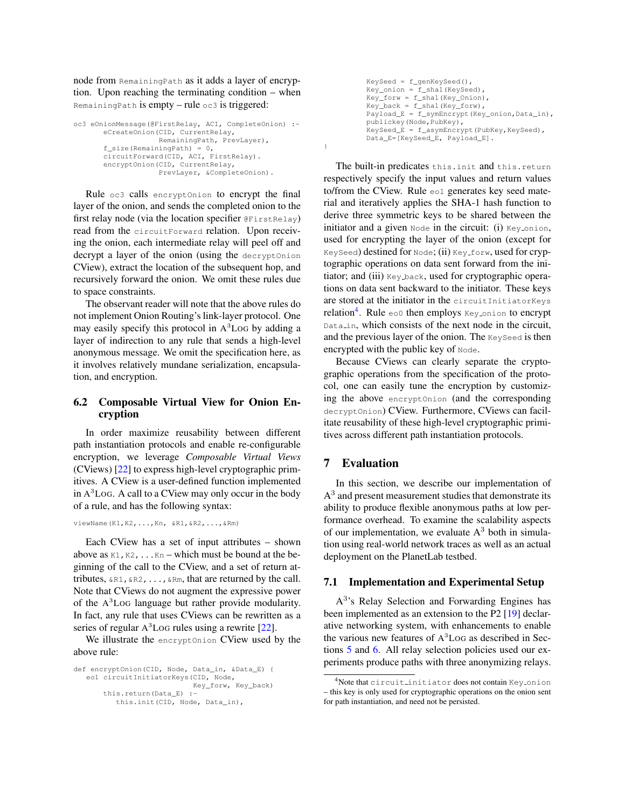node from RemainingPath as it adds a layer of encryption. Upon reaching the terminating condition – when Remaining Path is empty – rule  $\circ$  c3 is triggered:

```
oc3 eOnionMessage(@FirstRelay, ACI, CompleteOnion) :-
       eCreateOnion(CID, CurrentRelay,
                    RemainingPath, PrevLayer),
       f<sub>size</sub>(RemainingPath) = 0,
       circuitForward(CID, ACI, FirstRelay).
       encryptOnion(CID, CurrentRelay,
                    PrevLayer, &CompleteOnion).
```
Rule oc3 calls encryptOnion to encrypt the final layer of the onion, and sends the completed onion to the first relay node (via the location specifier @FirstRelay) read from the circuitForward relation. Upon receiving the onion, each intermediate relay will peel off and decrypt a layer of the onion (using the decryptOnion CView), extract the location of the subsequent hop, and recursively forward the onion. We omit these rules due to space constraints.

The observant reader will note that the above rules do not implement Onion Routing's link-layer protocol. One may easily specify this protocol in A <sup>3</sup>LOG by adding a layer of indirection to any rule that sends a high-level anonymous message. We omit the specification here, as it involves relatively mundane serialization, encapsulation, and encryption.

### <span id="page-11-1"></span>6.2 Composable Virtual View for Onion Encryption

In order maximize reusability between different path instantiation protocols and enable re-configurable encryption, we leverage *Composable Virtual Views* (CViews) [\[22\]](#page-19-10) to express high-level cryptographic primitives. A CView is a user-defined function implemented in A <sup>3</sup>LOG. A call to a CView may only occur in the body of a rule, and has the following syntax:

viewName(K1,K2,...,Kn, &R1,&R2,...,&Rm)

Each CView has a set of input attributes – shown above as  $K1, K2, \ldots Kn$  – which must be bound at the beginning of the call to the CView, and a set of return attributes,  $\&R1, \&R2, \ldots$ ,  $\&Rm$ , that are returned by the call. Note that CViews do not augment the expressive power of the A <sup>3</sup>LOG language but rather provide modularity. In fact, any rule that uses CViews can be rewritten as a series of regular A<sup>3</sup>LoG rules using a rewrite [\[22\]](#page-19-10).

We illustrate the encryptOnion CView used by the above rule:

```
def encryptOnion(CID, Node, Data_in, &Data_E) {
   eo1 circuitInitiatorKeys(CID, Node,
                            Key_forw, Key_back)
       this.return(Data_E) :-
          this.init(CID, Node, Data_in),
```

```
KeySeed = f qenKeySeed(),
Key\_onion = f\_sha1(KeySeed),
Key_forw = f_sha1(Key_Onion),
Key\_back = f\_shal(Key\_forw),
Payload_E = f_symEncrypt(Key_onion,Data_in),
publickey(Node,PubKey),
KeySeed_E = f_asymEncrypt(PubKey, KeySeed),
Data_E=[KeySeed_E, Payload_E].
```
The built-in predicates this.init and this.return respectively specify the input values and return values to/from the CView. Rule eo1 generates key seed material and iteratively applies the SHA-1 hash function to derive three symmetric keys to be shared between the initiator and a given  $\text{Node}$  in the circuit: (i)  $\text{Key}_\text{union}$ , used for encrypting the layer of the onion (except for KeySeed) destined for Node; (ii) Key\_forw, used for cryptographic operations on data sent forward from the initiator; and (iii) Key back, used for cryptographic operations on data sent backward to the initiator. These keys are stored at the initiator in the circuitInitiatorKeys relation<sup>[4](#page-11-2)</sup>. Rule eo0 then employs Key<sub>ronion</sub> to encrypt Data<sub>in</sub>, which consists of the next node in the circuit, and the previous layer of the onion. The KeySeed is then encrypted with the public key of Node.

Because CViews can clearly separate the cryptographic operations from the specification of the protocol, one can easily tune the encryption by customizing the above encryptOnion (and the corresponding decryptOnion) CView. Furthermore, CViews can facilitate reusability of these high-level cryptographic primitives across different path instantiation protocols.

# <span id="page-11-0"></span>7 Evaluation

}

In this section, we describe our implementation of  $A<sup>3</sup>$  and present measurement studies that demonstrate its ability to produce flexible anonymous paths at low performance overhead. To examine the scalability aspects of our implementation, we evaluate  $A<sup>3</sup>$  both in simulation using real-world network traces as well as an actual deployment on the PlanetLab testbed.

### 7.1 Implementation and Experimental Setup

A 3 's Relay Selection and Forwarding Engines has been implemented as an extension to the P2 [\[19\]](#page-18-6) declarative networking system, with enhancements to enable the various new features of  $A<sup>3</sup>$  Log as described in Sections [5](#page-6-0) and [6.](#page-9-0) All relay selection policies used our experiments produce paths with three anonymizing relays.

<span id="page-11-2"></span><sup>&</sup>lt;sup>4</sup>Note that circuit initiator does not contain Key onion – this key is only used for cryptographic operations on the onion sent for path instantiation, and need not be persisted.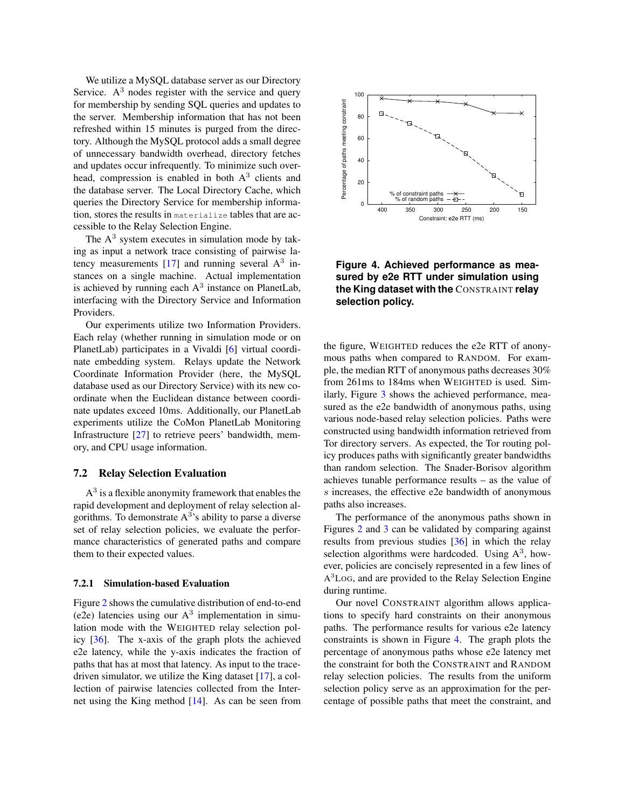We utilize a MySQL database server as our Directory Service.  $A<sup>3</sup>$  nodes register with the service and query for membership by sending SQL queries and updates to the server. Membership information that has not been refreshed within 15 minutes is purged from the directory. Although the MySQL protocol adds a small degree of unnecessary bandwidth overhead, directory fetches and updates occur infrequently. To minimize such overhead, compression is enabled in both  $A<sup>3</sup>$  clients and the database server. The Local Directory Cache, which queries the Directory Service for membership information, stores the results in materialize tables that are accessible to the Relay Selection Engine.

The  $A<sup>3</sup>$  system executes in simulation mode by taking as input a network trace consisting of pairwise latency measurements  $[17]$  and running several  $A<sup>3</sup>$  instances on a single machine. Actual implementation is achieved by running each  $A<sup>3</sup>$  instance on PlanetLab, interfacing with the Directory Service and Information Providers.

Our experiments utilize two Information Providers. Each relay (whether running in simulation mode or on PlanetLab) participates in a Vivaldi [\[6\]](#page-18-9) virtual coordinate embedding system. Relays update the Network Coordinate Information Provider (here, the MySQL database used as our Directory Service) with its new coordinate when the Euclidean distance between coordinate updates exceed 10ms. Additionally, our PlanetLab experiments utilize the CoMon PlanetLab Monitoring Infrastructure [\[27\]](#page-19-15) to retrieve peers' bandwidth, memory, and CPU usage information.

#### 7.2 Relay Selection Evaluation

 $A<sup>3</sup>$  is a flexible anonymity framework that enables the rapid development and deployment of relay selection algorithms. To demonstrate  $A^{3}$ 's ability to parse a diverse set of relay selection policies, we evaluate the performance characteristics of generated paths and compare them to their expected values.

#### <span id="page-12-0"></span>7.2.1 Simulation-based Evaluation

Figure [2](#page-13-0) shows the cumulative distribution of end-to-end (e2e) latencies using our  $A<sup>3</sup>$  implementation in simulation mode with the WEIGHTED relay selection policy [\[36\]](#page-19-7). The x-axis of the graph plots the achieved e2e latency, while the y-axis indicates the fraction of paths that has at most that latency. As input to the tracedriven simulator, we utilize the King dataset [\[17\]](#page-18-19), a collection of pairwise latencies collected from the Internet using the King method  $[14]$ . As can be seen from



<span id="page-12-1"></span>**Figure 4. Achieved performance as measured by e2e RTT under simulation using the King dataset with the** CONSTRAINT **relay selection policy.**

the figure, WEIGHTED reduces the e2e RTT of anonymous paths when compared to RANDOM. For example, the median RTT of anonymous paths decreases 30% from 261ms to 184ms when WEIGHTED is used. Similarly, Figure [3](#page-13-1) shows the achieved performance, measured as the e2e bandwidth of anonymous paths, using various node-based relay selection policies. Paths were constructed using bandwidth information retrieved from Tor directory servers. As expected, the Tor routing policy produces paths with significantly greater bandwidths than random selection. The Snader-Borisov algorithm achieves tunable performance results – as the value of s increases, the effective e2e bandwidth of anonymous paths also increases.

The performance of the anonymous paths shown in Figures [2](#page-13-0) and [3](#page-13-1) can be validated by comparing against results from previous studies [\[36\]](#page-19-7) in which the relay selection algorithms were hardcoded. Using  $A<sup>3</sup>$ , however, policies are concisely represented in a few lines of A <sup>3</sup>LOG, and are provided to the Relay Selection Engine during runtime.

Our novel CONSTRAINT algorithm allows applications to specify hard constraints on their anonymous paths. The performance results for various e2e latency constraints is shown in Figure [4.](#page-12-1) The graph plots the percentage of anonymous paths whose e2e latency met the constraint for both the CONSTRAINT and RANDOM relay selection policies. The results from the uniform selection policy serve as an approximation for the percentage of possible paths that meet the constraint, and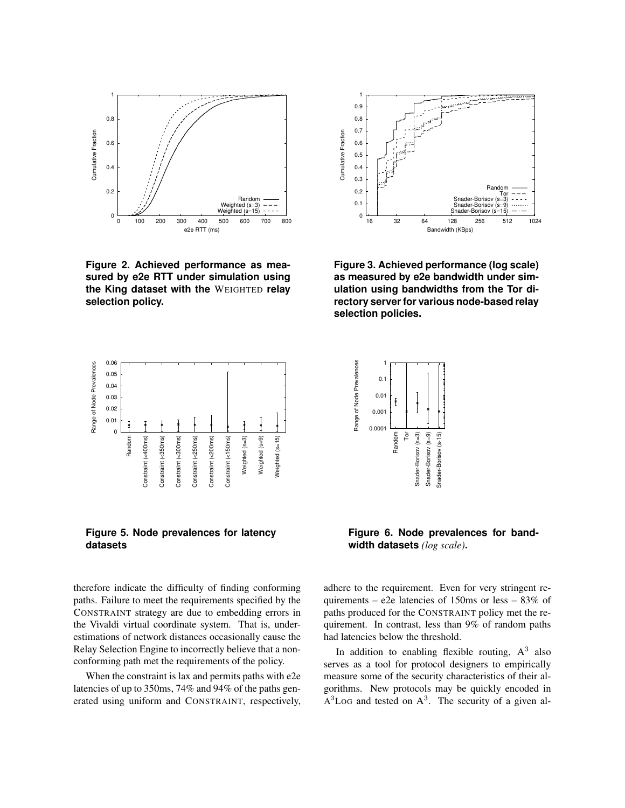

<span id="page-13-0"></span>**Figure 2. Achieved performance as measured by e2e RTT under simulation using the King dataset with the** WEIGHTED **relay selection policy.**



<span id="page-13-1"></span>**Figure 3. Achieved performance (log scale) as measured by e2e bandwidth under simulation using bandwidths from the Tor directory server for various node-based relay selection policies.**



<span id="page-13-2"></span>**Figure 5. Node prevalences for latency datasets**

therefore indicate the difficulty of finding conforming paths. Failure to meet the requirements specified by the CONSTRAINT strategy are due to embedding errors in the Vivaldi virtual coordinate system. That is, underestimations of network distances occasionally cause the Relay Selection Engine to incorrectly believe that a nonconforming path met the requirements of the policy.

When the constraint is lax and permits paths with e2e latencies of up to 350ms, 74% and 94% of the paths generated using uniform and CONSTRAINT, respectively,



<span id="page-13-3"></span>**Figure 6. Node prevalences for bandwidth datasets** *(log scale)***.**

adhere to the requirement. Even for very stringent requirements – e2e latencies of 150ms or less – 83% of paths produced for the CONSTRAINT policy met the requirement. In contrast, less than 9% of random paths had latencies below the threshold.

In addition to enabling flexible routing,  $A^3$  also serves as a tool for protocol designers to empirically measure some of the security characteristics of their algorithms. New protocols may be quickly encoded in  $A<sup>3</sup>$ LoG and tested on  $A<sup>3</sup>$ . The security of a given al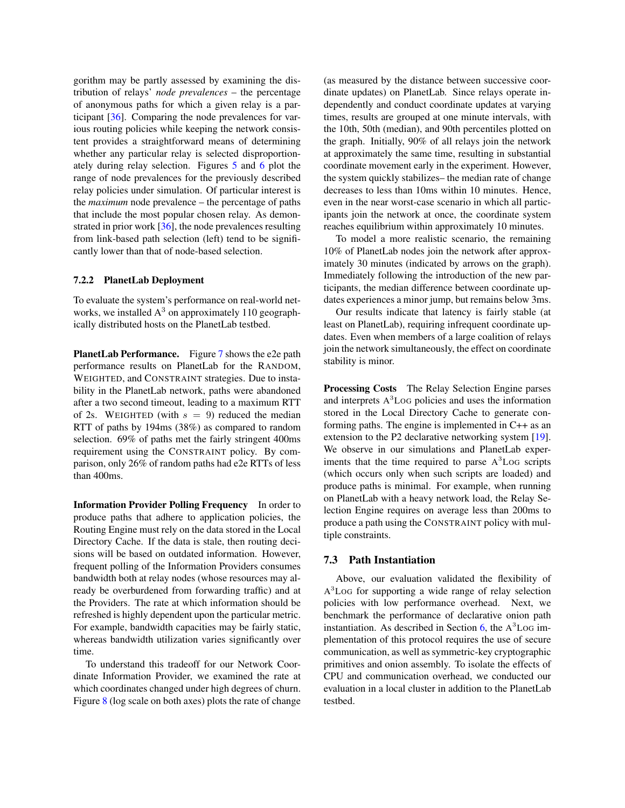gorithm may be partly assessed by examining the distribution of relays' *node prevalences* – the percentage of anonymous paths for which a given relay is a participant [\[36\]](#page-19-7). Comparing the node prevalences for various routing policies while keeping the network consistent provides a straightforward means of determining whether any particular relay is selected disproportionately during relay selection. Figures [5](#page-13-2) and [6](#page-13-3) plot the range of node prevalences for the previously described relay policies under simulation. Of particular interest is the *maximum* node prevalence – the percentage of paths that include the most popular chosen relay. As demonstrated in prior work [\[36\]](#page-19-7), the node prevalences resulting from link-based path selection (left) tend to be significantly lower than that of node-based selection.

#### 7.2.2 PlanetLab Deployment

To evaluate the system's performance on real-world networks, we installed  $A<sup>3</sup>$  on approximately 110 geographically distributed hosts on the PlanetLab testbed.

PlanetLab Performance. Figure [7](#page-15-0) shows the e2e path performance results on PlanetLab for the RANDOM, WEIGHTED, and CONSTRAINT strategies. Due to instability in the PlanetLab network, paths were abandoned after a two second timeout, leading to a maximum RTT of 2s. WEIGHTED (with  $s = 9$ ) reduced the median RTT of paths by 194ms (38%) as compared to random selection. 69% of paths met the fairly stringent 400ms requirement using the CONSTRAINT policy. By comparison, only 26% of random paths had e2e RTTs of less than 400ms.

Information Provider Polling Frequency In order to produce paths that adhere to application policies, the Routing Engine must rely on the data stored in the Local Directory Cache. If the data is stale, then routing decisions will be based on outdated information. However, frequent polling of the Information Providers consumes bandwidth both at relay nodes (whose resources may already be overburdened from forwarding traffic) and at the Providers. The rate at which information should be refreshed is highly dependent upon the particular metric. For example, bandwidth capacities may be fairly static, whereas bandwidth utilization varies significantly over time.

To understand this tradeoff for our Network Coordinate Information Provider, we examined the rate at which coordinates changed under high degrees of churn. Figure [8](#page-15-1) (log scale on both axes) plots the rate of change

(as measured by the distance between successive coordinate updates) on PlanetLab. Since relays operate independently and conduct coordinate updates at varying times, results are grouped at one minute intervals, with the 10th, 50th (median), and 90th percentiles plotted on the graph. Initially, 90% of all relays join the network at approximately the same time, resulting in substantial coordinate movement early in the experiment. However, the system quickly stabilizes– the median rate of change decreases to less than 10ms within 10 minutes. Hence, even in the near worst-case scenario in which all participants join the network at once, the coordinate system reaches equilibrium within approximately 10 minutes.

To model a more realistic scenario, the remaining 10% of PlanetLab nodes join the network after approximately 30 minutes (indicated by arrows on the graph). Immediately following the introduction of the new participants, the median difference between coordinate updates experiences a minor jump, but remains below 3ms.

Our results indicate that latency is fairly stable (at least on PlanetLab), requiring infrequent coordinate updates. Even when members of a large coalition of relays join the network simultaneously, the effect on coordinate stability is minor.

Processing Costs The Relay Selection Engine parses and interprets A <sup>3</sup>LOG policies and uses the information stored in the Local Directory Cache to generate conforming paths. The engine is implemented in C++ as an extension to the P2 declarative networking system [\[19\]](#page-18-6). We observe in our simulations and PlanetLab experiments that the time required to parse  $A<sup>3</sup>$  Log scripts (which occurs only when such scripts are loaded) and produce paths is minimal. For example, when running on PlanetLab with a heavy network load, the Relay Selection Engine requires on average less than 200ms to produce a path using the CONSTRAINT policy with multiple constraints.

### 7.3 Path Instantiation

Above, our evaluation validated the flexibility of A <sup>3</sup>LOG for supporting a wide range of relay selection policies with low performance overhead. Next, we benchmark the performance of declarative onion path instantiation. As described in Section  $6$ , the  $A<sup>3</sup>$ Log implementation of this protocol requires the use of secure communication, as well as symmetric-key cryptographic primitives and onion assembly. To isolate the effects of CPU and communication overhead, we conducted our evaluation in a local cluster in addition to the PlanetLab testbed.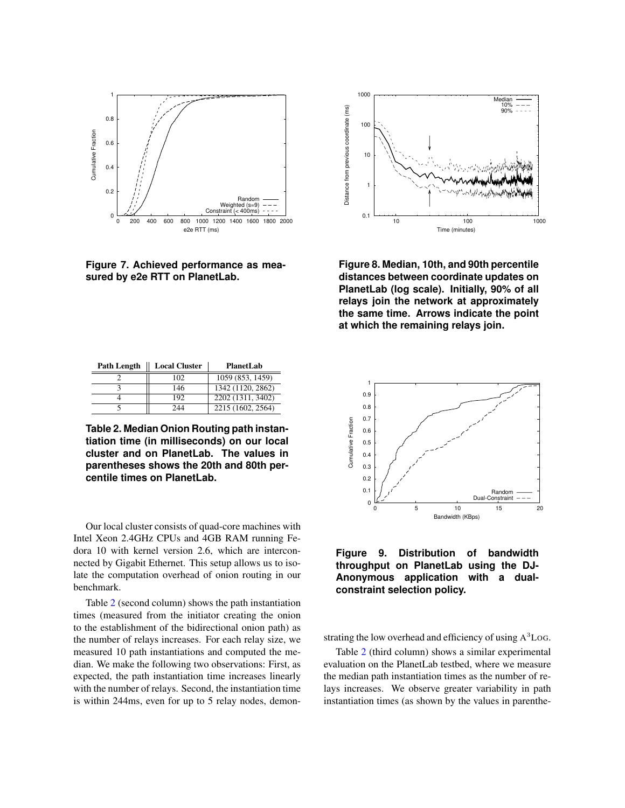

<span id="page-15-0"></span>**Figure 7. Achieved performance as measured by e2e RTT on PlanetLab.**

| <b>Path Length</b> | <b>Local Cluster</b> | PlanetLab         |
|--------------------|----------------------|-------------------|
|                    | 102                  | 1059 (853, 1459)  |
|                    | 146                  | 1342 (1120, 2862) |
|                    | 192                  | 2202 (1311, 3402) |
|                    | 244                  | 2215 (1602, 2564) |

<span id="page-15-2"></span>**Table 2. Median Onion Routing path instantiation time (in milliseconds) on our local cluster and on PlanetLab. The values in parentheses shows the 20th and 80th percentile times on PlanetLab.**

Our local cluster consists of quad-core machines with Intel Xeon 2.4GHz CPUs and 4GB RAM running Fedora 10 with kernel version 2.6, which are interconnected by Gigabit Ethernet. This setup allows us to isolate the computation overhead of onion routing in our benchmark.

Table [2](#page-15-2) (second column) shows the path instantiation times (measured from the initiator creating the onion to the establishment of the bidirectional onion path) as the number of relays increases. For each relay size, we measured 10 path instantiations and computed the median. We make the following two observations: First, as expected, the path instantiation time increases linearly with the number of relays. Second, the instantiation time is within 244ms, even for up to 5 relay nodes, demon-



<span id="page-15-1"></span>**Figure 8. Median, 10th, and 90th percentile distances between coordinate updates on PlanetLab (log scale). Initially, 90% of all relays join the network at approximately the same time. Arrows indicate the point at which the remaining relays join.**



### <span id="page-15-3"></span>**Figure 9. Distribution of bandwidth throughput on PlanetLab using the DJ-Anonymous application with a dualconstraint selection policy.**

strating the low overhead and efficiency of using A<sup>3</sup>Log.

Table [2](#page-15-2) (third column) shows a similar experimental evaluation on the PlanetLab testbed, where we measure the median path instantiation times as the number of relays increases. We observe greater variability in path instantiation times (as shown by the values in parenthe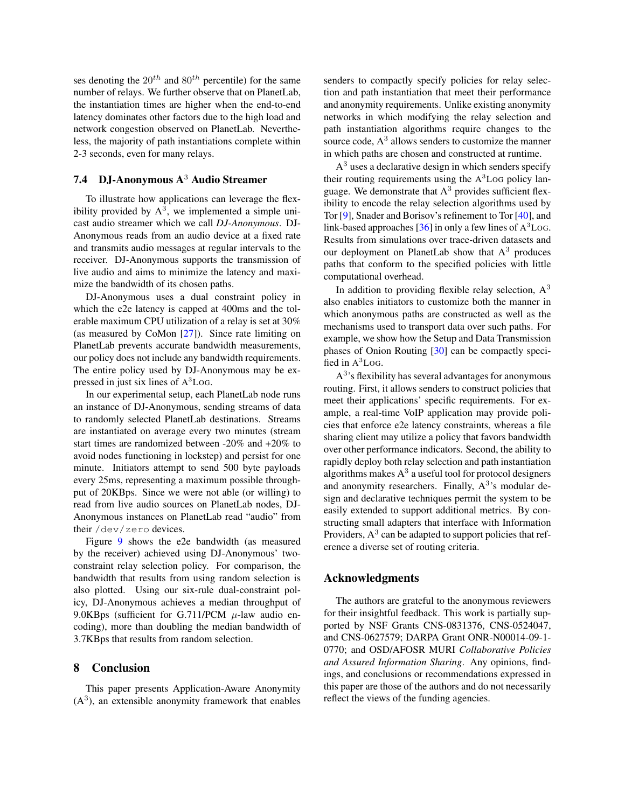ses denoting the  $20^{th}$  and  $80^{th}$  percentile) for the same number of relays. We further observe that on PlanetLab, the instantiation times are higher when the end-to-end latency dominates other factors due to the high load and network congestion observed on PlanetLab. Nevertheless, the majority of path instantiations complete within 2-3 seconds, even for many relays.

# 7.4 DJ-Anonymous A<sup>3</sup> Audio Streamer

To illustrate how applications can leverage the flexibility provided by  $A^3$ , we implemented a simple unicast audio streamer which we call *DJ-Anonymous*. DJ-Anonymous reads from an audio device at a fixed rate and transmits audio messages at regular intervals to the receiver. DJ-Anonymous supports the transmission of live audio and aims to minimize the latency and maximize the bandwidth of its chosen paths.

DJ-Anonymous uses a dual constraint policy in which the e2e latency is capped at 400ms and the tolerable maximum CPU utilization of a relay is set at 30% (as measured by CoMon [\[27\]](#page-19-15)). Since rate limiting on PlanetLab prevents accurate bandwidth measurements, our policy does not include any bandwidth requirements. The entire policy used by DJ-Anonymous may be expressed in just six lines of A <sup>3</sup>LOG.

In our experimental setup, each PlanetLab node runs an instance of DJ-Anonymous, sending streams of data to randomly selected PlanetLab destinations. Streams are instantiated on average every two minutes (stream start times are randomized between -20% and +20% to avoid nodes functioning in lockstep) and persist for one minute. Initiators attempt to send 500 byte payloads every 25ms, representing a maximum possible throughput of 20KBps. Since we were not able (or willing) to read from live audio sources on PlanetLab nodes, DJ-Anonymous instances on PlanetLab read "audio" from their /dev/zero devices.

Figure [9](#page-15-3) shows the e2e bandwidth (as measured by the receiver) achieved using DJ-Anonymous' twoconstraint relay selection policy. For comparison, the bandwidth that results from using random selection is also plotted. Using our six-rule dual-constraint policy, DJ-Anonymous achieves a median throughput of 9.0KBps (sufficient for G.711/PCM  $\mu$ -law audio encoding), more than doubling the median bandwidth of 3.7KBps that results from random selection.

### 8 Conclusion

This paper presents Application-Aware Anonymity  $(A<sup>3</sup>)$ , an extensible anonymity framework that enables

senders to compactly specify policies for relay selection and path instantiation that meet their performance and anonymity requirements. Unlike existing anonymity networks in which modifying the relay selection and path instantiation algorithms require changes to the source code,  $A<sup>3</sup>$  allows senders to customize the manner in which paths are chosen and constructed at runtime.

 $A<sup>3</sup>$  uses a declarative design in which senders specify their routing requirements using the  $A<sup>3</sup>$  Log policy language. We demonstrate that  $A<sup>3</sup>$  provides sufficient flexibility to encode the relay selection algorithms used by Tor [\[9\]](#page-18-0), Snader and Borisov's refinement to Tor [\[40\]](#page-19-8), and link-based approaches  $[36]$  in only a few lines of  $A<sup>3</sup>$  Log. Results from simulations over trace-driven datasets and our deployment on PlanetLab show that  $A<sup>3</sup>$  produces paths that conform to the specified policies with little computational overhead.

In addition to providing flexible relay selection,  $A<sup>3</sup>$ also enables initiators to customize both the manner in which anonymous paths are constructed as well as the mechanisms used to transport data over such paths. For example, we show how the Setup and Data Transmission phases of Onion Routing [\[30\]](#page-19-1) can be compactly specified in  $A^3$ Log.

 $A<sup>3</sup>$ 's flexibility has several advantages for anonymous routing. First, it allows senders to construct policies that meet their applications' specific requirements. For example, a real-time VoIP application may provide policies that enforce e2e latency constraints, whereas a file sharing client may utilize a policy that favors bandwidth over other performance indicators. Second, the ability to rapidly deploy both relay selection and path instantiation algorithms makes  $A^3$  a useful tool for protocol designers and anonymity researchers. Finally,  $A<sup>3</sup>$ 's modular design and declarative techniques permit the system to be easily extended to support additional metrics. By constructing small adapters that interface with Information Providers,  $A^3$  can be adapted to support policies that reference a diverse set of routing criteria.

### Acknowledgments

The authors are grateful to the anonymous reviewers for their insightful feedback. This work is partially supported by NSF Grants CNS-0831376, CNS-0524047, and CNS-0627579; DARPA Grant ONR-N00014-09-1- 0770; and OSD/AFOSR MURI *Collaborative Policies and Assured Information Sharing*. Any opinions, findings, and conclusions or recommendations expressed in this paper are those of the authors and do not necessarily reflect the views of the funding agencies.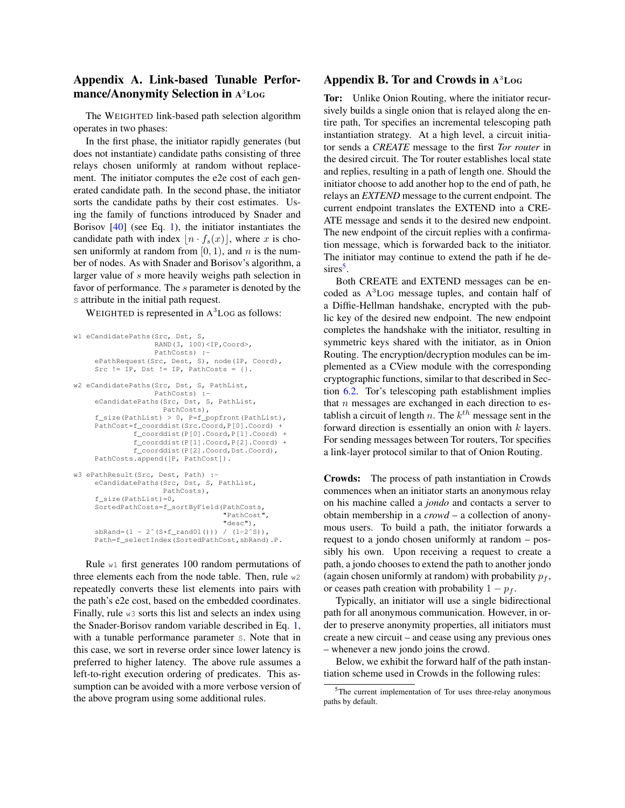# Appendix A. Link-based Tunable Performance/Anonymity Selection in A <sup>3</sup>LOG

The WEIGHTED link-based path selection algorithm operates in two phases:

In the first phase, the initiator rapidly generates (but does not instantiate) candidate paths consisting of three relays chosen uniformly at random without replacement. The initiator computes the e2e cost of each generated candidate path. In the second phase, the initiator sorts the candidate paths by their cost estimates. Using the family of functions introduced by Snader and Borisov [\[40\]](#page-19-8) (see Eq. [1\)](#page-8-2), the initiator instantiates the candidate path with index  $\left| n \cdot f_s(x) \right|$ , where x is chosen uniformly at random from  $[0, 1)$ , and n is the number of nodes. As with Snader and Borisov's algorithm, a larger value of s more heavily weighs path selection in favor of performance. The s parameter is denoted by the s attribute in the initial path request.

WEIGHTED is represented in  $A<sup>3</sup>$  Log as follows:

```
w1 eCandidatePaths(Src, Dst, S,
                   RAND(3, 100)<IP,Coord>,
                   PathCosts) :-
     ePathRequest(Src, Dest, S), node(IP, Coord),
     Src != IP, Dst != IP, PathCosts = {}.
w2 eCandidatePaths(Src, Dst, S, PathList,
                   PathCosts) :-
     eCandidatePaths(Src, Dst, S, PathList,
                     PathCosts),
     f_size(PathList) > 0, P=f_popfront(PathList),
     PathCost=f_coorddist(Src.Coord,P[0].Coord) +
              f_coorddist(P[0].Coord,P[1].Coord) +
              f_coorddist(P[1].Coord,P[2].Coord) +
              f_coorddist(P[2].Coord,Dst.Coord),
     PathCosts.append([P, PathCost]).
w3 ePathResult(Src, Dest, Path) :-
     eCandidatePaths(Src, Dst, S, PathList,
                     PathCosts),
     f_size(PathList)=0,
     SortedPathCosts=f_sortByField(PathCosts,
"PathCost",
                                    "desc"),
     sbRand=(1 - 2^(S * f\_rand01()))/(1-2^s),
     Path=f_selectIndex(SortedPathCost,sbRand).P.
```
Rule w1 first generates 100 random permutations of three elements each from the node table. Then, rule w2 repeatedly converts these list elements into pairs with the path's e2e cost, based on the embedded coordinates. Finally, rule  $w3$  sorts this list and selects an index using the Snader-Borisov random variable described in Eq. [1,](#page-8-2) with a tunable performance parameter s. Note that in this case, we sort in reverse order since lower latency is preferred to higher latency. The above rule assumes a left-to-right execution ordering of predicates. This assumption can be avoided with a more verbose version of the above program using some additional rules.

## Appendix B. Tor and Crowds in A <sup>3</sup>LOG

Tor: Unlike Onion Routing, where the initiator recursively builds a single onion that is relayed along the entire path, Tor specifies an incremental telescoping path instantiation strategy. At a high level, a circuit initiator sends a *CREATE* message to the first *Tor router* in the desired circuit. The Tor router establishes local state and replies, resulting in a path of length one. Should the initiator choose to add another hop to the end of path, he relays an *EXTEND* message to the current endpoint. The current endpoint translates the EXTEND into a CRE-ATE message and sends it to the desired new endpoint. The new endpoint of the circuit replies with a confirmation message, which is forwarded back to the initiator. The initiator may continue to extend the path if he de-sires<sup>[5](#page-17-0)</sup>.

Both CREATE and EXTEND messages can be encoded as A <sup>3</sup>LOG message tuples, and contain half of a Diffie-Hellman handshake, encrypted with the public key of the desired new endpoint. The new endpoint completes the handshake with the initiator, resulting in symmetric keys shared with the initiator, as in Onion Routing. The encryption/decryption modules can be implemented as a CView module with the corresponding cryptographic functions, similar to that described in Section [6.2.](#page-11-1) Tor's telescoping path establishment implies that  $n$  messages are exchanged in each direction to establish a circuit of length n. The  $k^{th}$  message sent in the forward direction is essentially an onion with  $k$  layers. For sending messages between Tor routers, Tor specifies a link-layer protocol similar to that of Onion Routing.

Crowds: The process of path instantiation in Crowds commences when an initiator starts an anonymous relay on his machine called a *jondo* and contacts a server to obtain membership in a *crowd* – a collection of anonymous users. To build a path, the initiator forwards a request to a jondo chosen uniformly at random – possibly his own. Upon receiving a request to create a path, a jondo chooses to extend the path to another jondo (again chosen uniformly at random) with probability  $p_f$ , or ceases path creation with probability  $1 - p_f$ .

Typically, an initiator will use a single bidirectional path for all anonymous communication. However, in order to preserve anonymity properties, all initiators must create a new circuit – and cease using any previous ones – whenever a new jondo joins the crowd.

Below, we exhibit the forward half of the path instantiation scheme used in Crowds in the following rules:

<span id="page-17-0"></span><sup>5</sup>The current implementation of Tor uses three-relay anonymous paths by default.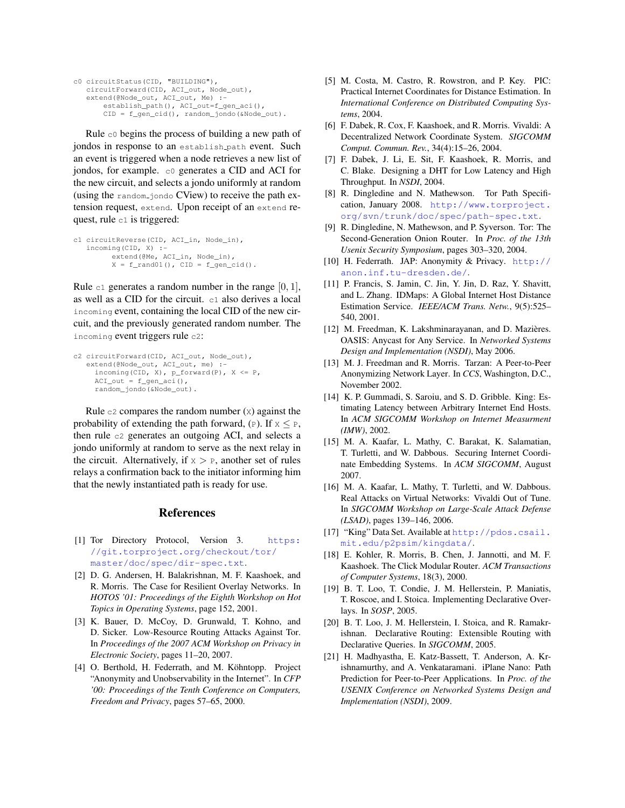```
c0 circuitStatus(CID, "BUILDING"),
   circuitForward(CID, ACI_out, Node_out),
    extend(@Node_out, ACI_out, Me) :-
establish_path(), ACI_out=f_gen_aci(),
        CID = f_gen_cid(), random_jondo(&Node_out).
```
Rule  $\circ$  begins the process of building a new path of jondos in response to an establish path event. Such an event is triggered when a node retrieves a new list of jondos, for example. c0 generates a CID and ACI for the new circuit, and selects a jondo uniformly at random (using the random jondo CView) to receive the path extension request, extend. Upon receipt of an extend request, rule c1 is triggered:

```
c1 circuitReverse(CID, ACI_in, Node_in),
   incoming(CID, X) :-
         extend(@Me, ACI_in, Node_in),
         X = f\_rand01(), CID = f\_gen\_cid().
```
Rule c1 generates a random number in the range  $[0, 1]$ , as well as a CID for the circuit. c1 also derives a local incoming event, containing the local CID of the new circuit, and the previously generated random number. The incoming event triggers rule c2:

```
c2 circuitForward(CID, ACI_out, Node_out),
extend(@Node_out, ACI_out, me) :-
      incoming(CID, X), p_f^{\text{forward}}(P), X <= P,
      ACI_out = f_gen_aci(),
      random_jondo(&Node_out).
```
Rule  $c2$  compares the random number  $(x)$  against the probability of extending the path forward, (P). If  $x \leq P$ , then rule c2 generates an outgoing ACI, and selects a jondo uniformly at random to serve as the next relay in the circuit. Alternatively, if  $x > P$ , another set of rules relays a confirmation back to the initiator informing him that the newly instantiated path is ready for use.

### References

- <span id="page-18-18"></span>[1] Tor Directory Protocol, Version 3. [https:](https://git.torproject.org/checkout/tor/master/doc/spec/dir-spec.txt) [//git.torproject.org/checkout/tor/](https://git.torproject.org/checkout/tor/master/doc/spec/dir-spec.txt) [master/doc/spec/dir-spec.txt](https://git.torproject.org/checkout/tor/master/doc/spec/dir-spec.txt).
- <span id="page-18-7"></span>[2] D. G. Andersen, H. Balakrishnan, M. F. Kaashoek, and R. Morris. The Case for Resilient Overlay Networks. In *HOTOS '01: Proceedings of the Eighth Workshop on Hot Topics in Operating Systems*, page 152, 2001.
- <span id="page-18-8"></span>[3] K. Bauer, D. McCoy, D. Grunwald, T. Kohno, and D. Sicker. Low-Resource Routing Attacks Against Tor. In *Proceedings of the 2007 ACM Workshop on Privacy in Electronic Society*, pages 11–20, 2007.
- <span id="page-18-2"></span>[4] O. Berthold, H. Federrath, and M. Köhntopp. Project "Anonymity and Unobservability in the Internet". In *CFP '00: Proceedings of the Tenth Conference on Computers, Freedom and Privacy*, pages 57–65, 2000.
- <span id="page-18-10"></span>[5] M. Costa, M. Castro, R. Rowstron, and P. Key. PIC: Practical Internet Coordinates for Distance Estimation. In *International Conference on Distributed Computing Systems*, 2004.
- <span id="page-18-9"></span>[6] F. Dabek, R. Cox, F. Kaashoek, and R. Morris. Vivaldi: A Decentralized Network Coordinate System. *SIGCOMM Comput. Commun. Rev.*, 34(4):15–26, 2004.
- <span id="page-18-17"></span>[7] F. Dabek, J. Li, E. Sit, F. Kaashoek, R. Morris, and C. Blake. Designing a DHT for Low Latency and High Throughput. In *NSDI*, 2004.
- <span id="page-18-4"></span>[8] R. Dingledine and N. Mathewson. Tor Path Specification, January 2008. [http://www.torproject.](http://www.torproject.org/svn/trunk/doc/spec/path-spec.txt) [org/svn/trunk/doc/spec/path-spec.txt](http://www.torproject.org/svn/trunk/doc/spec/path-spec.txt).
- <span id="page-18-0"></span>[9] R. Dingledine, N. Mathewson, and P. Syverson. Tor: The Second-Generation Onion Router. In *Proc. of the 13th Usenix Security Symposium*, pages 303–320, 2004.
- <span id="page-18-3"></span>[10] H. Federrath. JAP: Anonymity & Privacy. [http://](http://anon.inf.tu-dresden.de/) [anon.inf.tu-dresden.de/](http://anon.inf.tu-dresden.de/).
- <span id="page-18-15"></span>[11] P. Francis, S. Jamin, C. Jin, Y. Jin, D. Raz, Y. Shavitt, and L. Zhang. IDMaps: A Global Internet Host Distance Estimation Service. *IEEE/ACM Trans. Netw.*, 9(5):525– 540, 2001.
- <span id="page-18-16"></span>[12] M. Freedman, K. Lakshminarayanan, and D. Mazières. OASIS: Anycast for Any Service. In *Networked Systems Design and Implementation (NSDI)*, May 2006.
- <span id="page-18-1"></span>[13] M. J. Freedman and R. Morris. Tarzan: A Peer-to-Peer Anonymizing Network Layer. In *CCS*, Washington, D.C., November 2002.
- <span id="page-18-20"></span>[14] K. P. Gummadi, S. Saroiu, and S. D. Gribble. King: Estimating Latency between Arbitrary Internet End Hosts. In *ACM SIGCOMM Workshop on Internet Measurment (IMW)*, 2002.
- <span id="page-18-13"></span>[15] M. A. Kaafar, L. Mathy, C. Barakat, K. Salamatian, T. Turletti, and W. Dabbous. Securing Internet Coordinate Embedding Systems. In *ACM SIGCOMM*, August 2007.
- <span id="page-18-12"></span>[16] M. A. Kaafar, L. Mathy, T. Turletti, and W. Dabbous. Real Attacks on Virtual Networks: Vivaldi Out of Tune. In *SIGCOMM Workshop on Large-Scale Attack Defense (LSAD)*, pages 139–146, 2006.
- <span id="page-18-19"></span>[17] "King" Data Set. Available at [http://pdos.csail.](http://pdos.csail.mit.edu/p2psim/kingdata/) [mit.edu/p2psim/kingdata/](http://pdos.csail.mit.edu/p2psim/kingdata/).
- <span id="page-18-11"></span>[18] E. Kohler, R. Morris, B. Chen, J. Jannotti, and M. F. Kaashoek. The Click Modular Router. *ACM Transactions of Computer Systems*, 18(3), 2000.
- <span id="page-18-6"></span>[19] B. T. Loo, T. Condie, J. M. Hellerstein, P. Maniatis, T. Roscoe, and I. Stoica. Implementing Declarative Overlays. In *SOSP*, 2005.
- <span id="page-18-5"></span>[20] B. T. Loo, J. M. Hellerstein, I. Stoica, and R. Ramakrishnan. Declarative Routing: Extensible Routing with Declarative Queries. In *SIGCOMM*, 2005.
- <span id="page-18-14"></span>[21] H. Madhyastha, E. Katz-Bassett, T. Anderson, A. Krishnamurthy, and A. Venkataramani. iPlane Nano: Path Prediction for Peer-to-Peer Applications. In *Proc. of the USENIX Conference on Networked Systems Design and Implementation (NSDI)*, 2009.